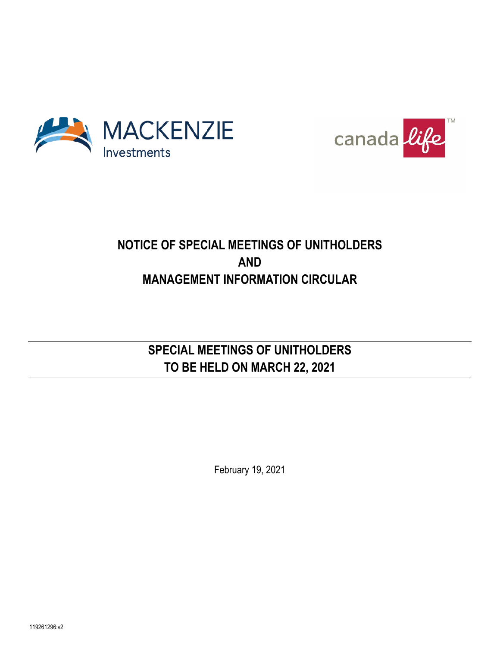



## **NOTICE OF SPECIAL MEETINGS OF UNITHOLDERS AND MANAGEMENT INFORMATION CIRCULAR**

## **SPECIAL MEETINGS OF UNITHOLDERS TO BE HELD ON MARCH 22, 2021**

February 19, 2021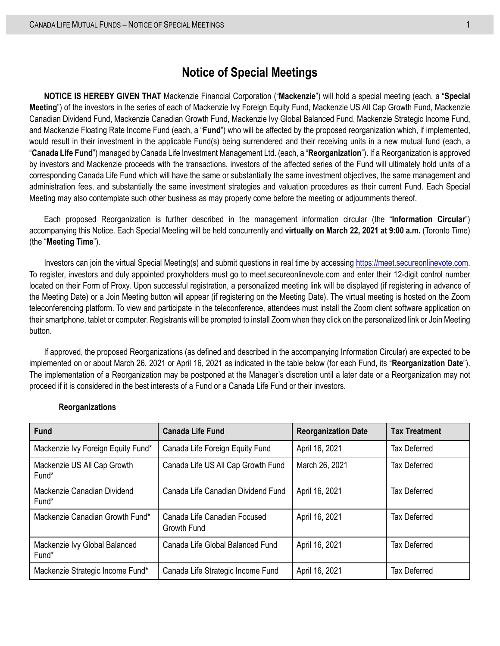## **Notice of Special Meetings**

**NOTICE IS HEREBY GIVEN THAT** Mackenzie Financial Corporation ("**Mackenzie**") will hold a special meeting (each, a "**Special Meeting**") of the investors in the series of each of Mackenzie Ivy Foreign Equity Fund, Mackenzie US All Cap Growth Fund, Mackenzie Canadian Dividend Fund, Mackenzie Canadian Growth Fund, Mackenzie Ivy Global Balanced Fund, Mackenzie Strategic Income Fund, and Mackenzie Floating Rate Income Fund (each, a "**Fund**") who will be affected by the proposed reorganization which, if implemented, would result in their investment in the applicable Fund(s) being surrendered and their receiving units in a new mutual fund (each, a "**Canada Life Fund**") managed by Canada Life Investment Management Ltd. (each, a "**Reorganization**"). If a Reorganization is approved by investors and Mackenzie proceeds with the transactions, investors of the affected series of the Fund will ultimately hold units of a corresponding Canada Life Fund which will have the same or substantially the same investment objectives, the same management and administration fees, and substantially the same investment strategies and valuation procedures as their current Fund. Each Special Meeting may also contemplate such other business as may properly come before the meeting or adjournments thereof.

Each proposed Reorganization is further described in the management information circular (the "**Information Circular**") accompanying this Notice. Each Special Meeting will be held concurrently and **virtually on March 22, 2021 at 9:00 a.m.** (Toronto Time) (the "**Meeting Time**").

Investors can join the virtual Special Meeting(s) and submit questions in real time by accessing [https://meet.secureonlinevote.com.](https://meet.secureonlinevote.com/)  To register, investors and duly appointed proxyholders must go to meet.secureonlinevote.com and enter their 12-digit control number located on their Form of Proxy. Upon successful registration, a personalized meeting link will be displayed (if registering in advance of the Meeting Date) or a Join Meeting button will appear (if registering on the Meeting Date). The virtual meeting is hosted on the Zoom teleconferencing platform. To view and participate in the teleconference, attendees must install the Zoom client software application on their smartphone, tablet or computer. Registrants will be prompted to install Zoom when they click on the personalized link or Join Meeting button.

If approved, the proposed Reorganizations (as defined and described in the accompanying Information Circular) are expected to be implemented on or about March 26, 2021 or April 16, 2021 as indicated in the table below (for each Fund, its "**Reorganization Date**"). The implementation of a Reorganization may be postponed at the Manager's discretion until a later date or a Reorganization may not proceed if it is considered in the best interests of a Fund or a Canada Life Fund or their investors.

| <b>Fund</b>                            | <b>Canada Life Fund</b>                     | <b>Reorganization Date</b> | <b>Tax Treatment</b> |
|----------------------------------------|---------------------------------------------|----------------------------|----------------------|
| Mackenzie Ivy Foreign Equity Fund*     | Canada Life Foreign Equity Fund             | April 16, 2021             | <b>Tax Deferred</b>  |
| Mackenzie US All Cap Growth<br>Fund*   | Canada Life US All Cap Growth Fund          | March 26, 2021             | <b>Tax Deferred</b>  |
| Mackenzie Canadian Dividend<br>Fund*   | Canada Life Canadian Dividend Fund          | April 16, 2021             | <b>Tax Deferred</b>  |
| Mackenzie Canadian Growth Fund*        | Canada Life Canadian Focused<br>Growth Fund | April 16, 2021             | <b>Tax Deferred</b>  |
| Mackenzie Ivy Global Balanced<br>Fund* | Canada Life Global Balanced Fund            | April 16, 2021             | <b>Tax Deferred</b>  |
| Mackenzie Strategic Income Fund*       | Canada Life Strategic Income Fund           | April 16, 2021             | <b>Tax Deferred</b>  |

#### **Reorganizations**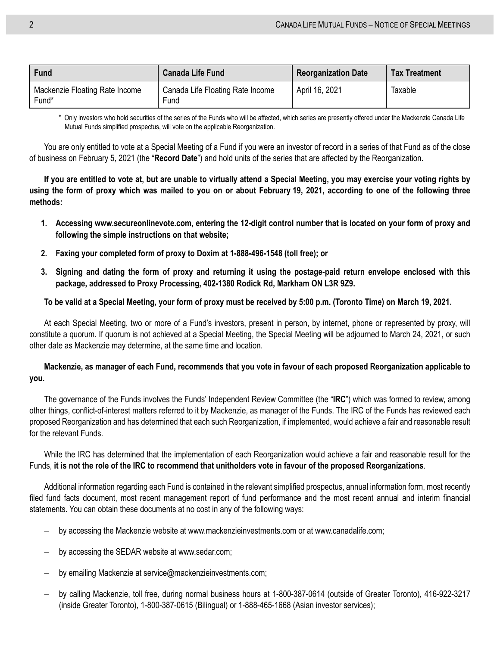| Fund                                    | <b>Canada Life Fund</b>                  | <b>Reorganization Date</b> | <b>Tax Treatment</b> |
|-----------------------------------------|------------------------------------------|----------------------------|----------------------|
| Mackenzie Floating Rate Income<br>Fund* | Canada Life Floating Rate Income<br>Fund | April 16, 2021             | Taxable              |

\* Only investors who hold securities of the series of the Funds who will be affected, which series are presently offered under the Mackenzie Canada Life Mutual Funds simplified prospectus, will vote on the applicable Reorganization.

You are only entitled to vote at a Special Meeting of a Fund if you were an investor of record in a series of that Fund as of the close of business on February 5, 2021 (the "**Record Date**") and hold units of the series that are affected by the Reorganization.

**If you are entitled to vote at, but are unable to virtually attend a Special Meeting, you may exercise your voting rights by using the form of proxy which was mailed to you on or about February 19, 2021, according to one of the following three methods:**

- **1. Accessing www.secureonlinevote.com, entering the 12-digit control number that is located on your form of proxy and following the simple instructions on that website;**
- **2. Faxing your completed form of proxy to Doxim at 1-888-496-1548 (toll free); or**
- **3. Signing and dating the form of proxy and returning it using the postage-paid return envelope enclosed with this package, addressed to Proxy Processing, 402-1380 Rodick Rd, Markham ON L3R 9Z9.**

#### **To be valid at a Special Meeting, your form of proxy must be received by 5:00 p.m. (Toronto Time) on March 19, 2021.**

At each Special Meeting, two or more of a Fund's investors, present in person, by internet, phone or represented by proxy, will constitute a quorum. If quorum is not achieved at a Special Meeting, the Special Meeting will be adjourned to March 24, 2021, or such other date as Mackenzie may determine, at the same time and location.

#### **Mackenzie, as manager of each Fund, recommends that you vote in favour of each proposed Reorganization applicable to you.**

The governance of the Funds involves the Funds' Independent Review Committee (the "**IRC**") which was formed to review, among other things, conflict-of-interest matters referred to it by Mackenzie, as manager of the Funds. The IRC of the Funds has reviewed each proposed Reorganization and has determined that each such Reorganization, if implemented, would achieve a fair and reasonable result for the relevant Funds.

While the IRC has determined that the implementation of each Reorganization would achieve a fair and reasonable result for the Funds, **it is not the role of the IRC to recommend that unitholders vote in favour of the proposed Reorganizations**.

Additional information regarding each Fund is contained in the relevant simplified prospectus, annual information form, most recently filed fund facts document, most recent management report of fund performance and the most recent annual and interim financial statements. You can obtain these documents at no cost in any of the following ways:

- by accessing the Mackenzie website at www.mackenzieinvestments.com or at www.canadalife.com;
- by accessing the SEDAR website at www.sedar.com;
- by emailing Mackenzie at service@mackenzieinvestments.com;
- by calling Mackenzie, toll free, during normal business hours at 1-800-387-0614 (outside of Greater Toronto), 416-922-3217 (inside Greater Toronto), 1-800-387-0615 (Bilingual) or 1-888-465-1668 (Asian investor services);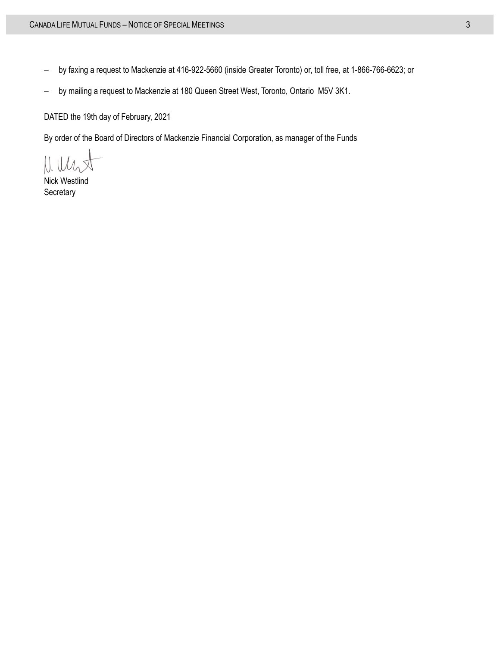- by faxing a request to Mackenzie at 416-922-5660 (inside Greater Toronto) or, toll free, at 1-866-766-6623; or
- by mailing a request to Mackenzie at 180 Queen Street West, Toronto, Ontario M5V 3K1.

DATED the 19th day of February, 2021

By order of the Board of Directors of Mackenzie Financial Corporation, as manager of the Funds

Nick Westlind **Secretary**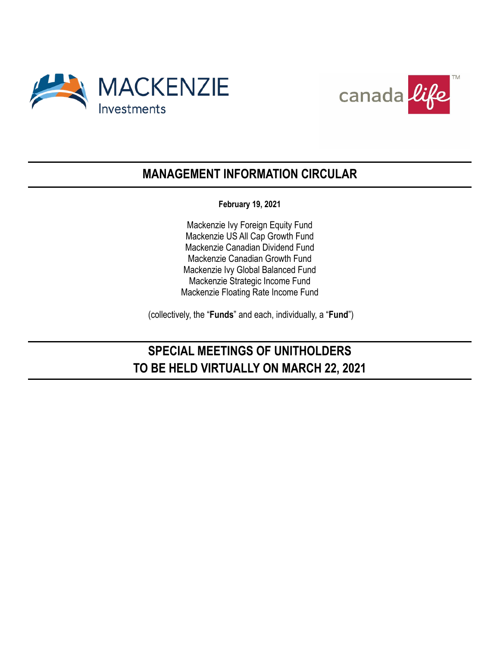



## **MANAGEMENT INFORMATION CIRCULAR**

**February 19, 2021**

Mackenzie Ivy Foreign Equity Fund Mackenzie US All Cap Growth Fund Mackenzie Canadian Dividend Fund Mackenzie Canadian Growth Fund Mackenzie Ivy Global Balanced Fund Mackenzie Strategic Income Fund Mackenzie Floating Rate Income Fund

(collectively, the "**Funds**" and each, individually, a "**Fund**")

## **SPECIAL MEETINGS OF UNITHOLDERS TO BE HELD VIRTUALLY ON MARCH 22, 2021**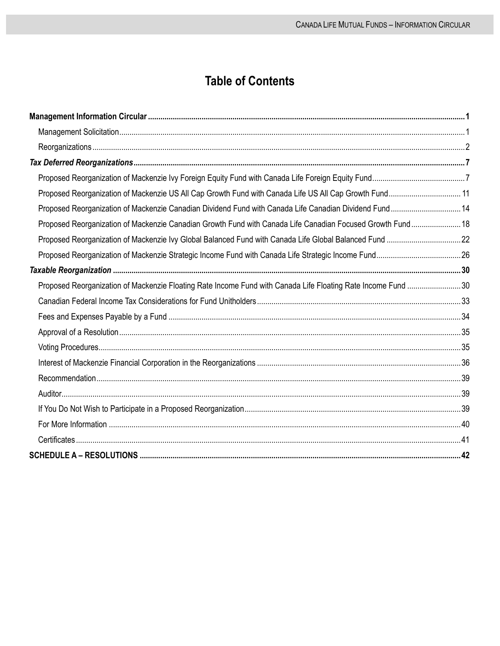## **Table of Contents**

| Proposed Reorganization of Mackenzie US All Cap Growth Fund with Canada Life US All Cap Growth Fund 11       |  |
|--------------------------------------------------------------------------------------------------------------|--|
| Proposed Reorganization of Mackenzie Canadian Dividend Fund with Canada Life Canadian Dividend Fund 14       |  |
| Proposed Reorganization of Mackenzie Canadian Growth Fund with Canada Life Canadian Focused Growth Fund 18   |  |
|                                                                                                              |  |
|                                                                                                              |  |
|                                                                                                              |  |
| Proposed Reorganization of Mackenzie Floating Rate Income Fund with Canada Life Floating Rate Income Fund 30 |  |
|                                                                                                              |  |
|                                                                                                              |  |
|                                                                                                              |  |
|                                                                                                              |  |
|                                                                                                              |  |
|                                                                                                              |  |
|                                                                                                              |  |
|                                                                                                              |  |
|                                                                                                              |  |
|                                                                                                              |  |
|                                                                                                              |  |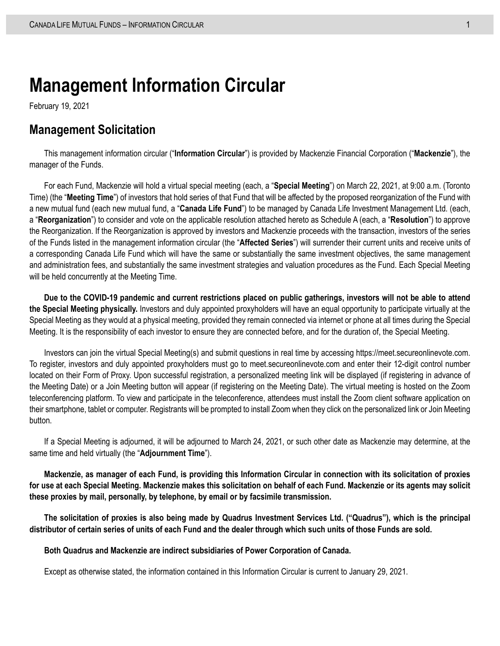# <span id="page-8-0"></span>**Management Information Circular**

February 19, 2021

### <span id="page-8-1"></span>**Management Solicitation**

This management information circular ("**Information Circular**") is provided by Mackenzie Financial Corporation ("**Mackenzie**"), the manager of the Funds.

For each Fund, Mackenzie will hold a virtual special meeting (each, a "**Special Meeting**") on March 22, 2021, at 9:00 a.m. (Toronto Time) (the "**Meeting Time**") of investors that hold series of that Fund that will be affected by the proposed reorganization of the Fund with a new mutual fund (each new mutual fund, a "**Canada Life Fund**") to be managed by Canada Life Investment Management Ltd. (each, a "**Reorganization**") to consider and vote on the applicable resolution attached hereto as Schedule A (each, a "**Resolution**") to approve the Reorganization. If the Reorganization is approved by investors and Mackenzie proceeds with the transaction, investors of the series of the Funds listed in the management information circular (the "**Affected Series**") will surrender their current units and receive units of a corresponding Canada Life Fund which will have the same or substantially the same investment objectives, the same management and administration fees, and substantially the same investment strategies and valuation procedures as the Fund. Each Special Meeting will be held concurrently at the Meeting Time.

**Due to the COVID-19 pandemic and current restrictions placed on public gatherings, investors will not be able to attend the Special Meeting physically.** Investors and duly appointed proxyholders will have an equal opportunity to participate virtually at the Special Meeting as they would at a physical meeting, provided they remain connected via internet or phone at all times during the Special Meeting. It is the responsibility of each investor to ensure they are connected before, and for the duration of, the Special Meeting.

Investors can join the virtual Special Meeting(s) and submit questions in real time by accessing https://meet.secureonlinevote.com. To register, investors and duly appointed proxyholders must go to meet.secureonlinevote.com and enter their 12-digit control number located on their Form of Proxy. Upon successful registration, a personalized meeting link will be displayed (if registering in advance of the Meeting Date) or a Join Meeting button will appear (if registering on the Meeting Date). The virtual meeting is hosted on the Zoom teleconferencing platform. To view and participate in the teleconference, attendees must install the Zoom client software application on their smartphone, tablet or computer. Registrants will be prompted to install Zoom when they click on the personalized link or Join Meeting button.

If a Special Meeting is adjourned, it will be adjourned to March 24, 2021, or such other date as Mackenzie may determine, at the same time and held virtually (the "**Adjournment Time**").

**Mackenzie, as manager of each Fund, is providing this Information Circular in connection with its solicitation of proxies for use at each Special Meeting. Mackenzie makes this solicitation on behalf of each Fund. Mackenzie or its agents may solicit these proxies by mail, personally, by telephone, by email or by facsimile transmission.**

**The solicitation of proxies is also being made by Quadrus Investment Services Ltd. ("Quadrus"), which is the principal distributor of certain series of units of each Fund and the dealer through which such units of those Funds are sold.**

**Both Quadrus and Mackenzie are indirect subsidiaries of Power Corporation of Canada.** 

Except as otherwise stated, the information contained in this Information Circular is current to January 29, 2021.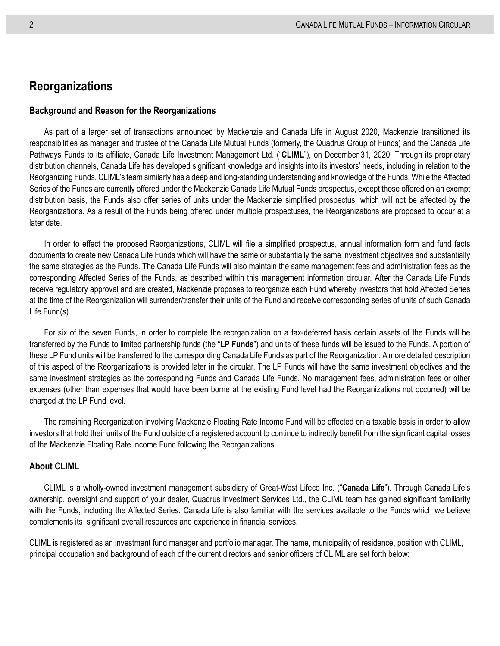### <span id="page-9-0"></span>**Reorganizations**

#### **Background and Reason for the Reorganizations**

As part of a larger set of transactions announced by Mackenzie and Canada Life in August 2020, Mackenzie transitioned its responsibilities as manager and trustee of the Canada Life Mutual Funds (formerly, the Quadrus Group of Funds) and the Canada Life Pathways Funds to its affiliate, Canada Life Investment Management Ltd. ("**CLIML**"), on December 31, 2020. Through its proprietary distribution channels, Canada Life has developed significant knowledge and insights into its investors' needs, including in relation to the Reorganizing Funds. CLIML's team similarly has a deep and long-standing understanding and knowledge of the Funds. While the Affected Series of the Funds are currently offered under the Mackenzie Canada Life Mutual Funds prospectus, except those offered on an exempt distribution basis, the Funds also offer series of units under the Mackenzie simplified prospectus, which will not be affected by the Reorganizations. As a result of the Funds being offered under multiple prospectuses, the Reorganizations are proposed to occur at a later date.

In order to effect the proposed Reorganizations, CLIML will file a simplified prospectus, annual information form and fund facts documents to create new Canada Life Funds which will have the same or substantially the same investment objectives and substantially the same strategies as the Funds. The Canada Life Funds will also maintain the same management fees and administration fees as the corresponding Affected Series of the Funds, as described within this management information circular. After the Canada Life Funds receive regulatory approval and are created, Mackenzie proposes to reorganize each Fund whereby investors that hold Affected Series at the time of the Reorganization will surrender/transfer their units of the Fund and receive corresponding series of units of such Canada Life Fund(s).

For six of the seven Funds, in order to complete the reorganization on a tax-deferred basis certain assets of the Funds will be transferred by the Funds to limited partnership funds (the "**LP Funds**") and units of these funds will be issued to the Funds. A portion of these LP Fund units will be transferred to the corresponding Canada Life Funds as part of the Reorganization. A more detailed description of this aspect of the Reorganizations is provided later in the circular. The LP Funds will have the same investment objectives and the same investment strategies as the corresponding Funds and Canada Life Funds. No management fees, administration fees or other expenses (other than expenses that would have been borne at the existing Fund level had the Reorganizations not occurred) will be charged at the LP Fund level.

The remaining Reorganization involving Mackenzie Floating Rate Income Fund will be effected on a taxable basis in order to allow investors that hold their units of the Fund outside of a registered account to continue to indirectly benefit from the significant capital losses of the Mackenzie Floating Rate Income Fund following the Reorganizations.

#### **About CLIML**

CLIML is a wholly-owned investment management subsidiary of Great-West Lifeco Inc. ("**Canada Life**"). Through Canada Life's ownership, oversight and support of your dealer, Quadrus Investment Services Ltd., the CLIML team has gained significant familiarity with the Funds, including the Affected Series. Canada Life is also familiar with the services available to the Funds which we believe complements its significant overall resources and experience in financial services.

CLIML is registered as an investment fund manager and portfolio manager. The name, municipality of residence, position with CLIML, principal occupation and background of each of the current directors and senior officers of CLIML are set forth below: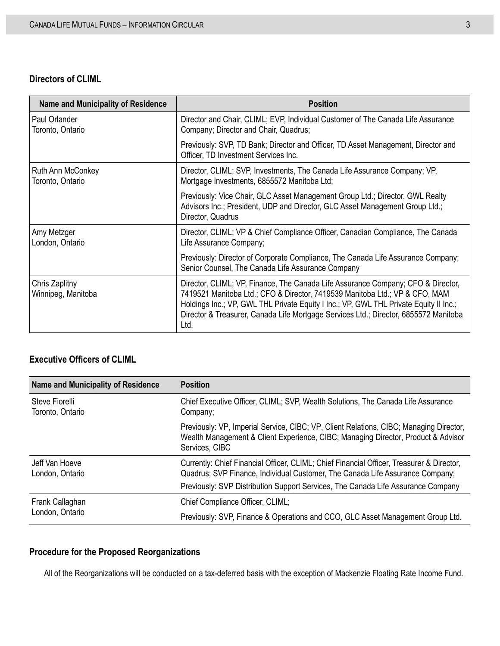#### **Directors of CLIML**

| <b>Name and Municipality of Residence</b> | <b>Position</b>                                                                                                                                                                                                                                                                                                                                          |
|-------------------------------------------|----------------------------------------------------------------------------------------------------------------------------------------------------------------------------------------------------------------------------------------------------------------------------------------------------------------------------------------------------------|
| Paul Orlander<br>Toronto, Ontario         | Director and Chair, CLIML; EVP, Individual Customer of The Canada Life Assurance<br>Company; Director and Chair, Quadrus;                                                                                                                                                                                                                                |
|                                           | Previously: SVP, TD Bank; Director and Officer, TD Asset Management, Director and<br>Officer, TD Investment Services Inc.                                                                                                                                                                                                                                |
| Ruth Ann McConkey<br>Toronto, Ontario     | Director, CLIML; SVP, Investments, The Canada Life Assurance Company; VP,<br>Mortgage Investments, 6855572 Manitoba Ltd;                                                                                                                                                                                                                                 |
|                                           | Previously: Vice Chair, GLC Asset Management Group Ltd.; Director, GWL Realty<br>Advisors Inc.; President, UDP and Director, GLC Asset Management Group Ltd.;<br>Director, Quadrus                                                                                                                                                                       |
| Amy Metzger<br>London, Ontario            | Director, CLIML; VP & Chief Compliance Officer, Canadian Compliance, The Canada<br>Life Assurance Company;                                                                                                                                                                                                                                               |
|                                           | Previously: Director of Corporate Compliance, The Canada Life Assurance Company;<br>Senior Counsel, The Canada Life Assurance Company                                                                                                                                                                                                                    |
| Chris Zaplitny<br>Winnipeg, Manitoba      | Director, CLIML; VP, Finance, The Canada Life Assurance Company; CFO & Director,<br>7419521 Manitoba Ltd.; CFO & Director, 7419539 Manitoba Ltd.; VP & CFO, MAM<br>Holdings Inc.; VP, GWL THL Private Equity I Inc.; VP, GWL THL Private Equity II Inc.;<br>Director & Treasurer, Canada Life Mortgage Services Ltd.; Director, 6855572 Manitoba<br>Ltd. |

#### **Executive Officers of CLIML**

| <b>Name and Municipality of Residence</b> | <b>Position</b>                                                                                                                                                                               |
|-------------------------------------------|-----------------------------------------------------------------------------------------------------------------------------------------------------------------------------------------------|
| Steve Fiorelli<br>Toronto, Ontario        | Chief Executive Officer, CLIML; SVP, Wealth Solutions, The Canada Life Assurance<br>Company;                                                                                                  |
|                                           | Previously: VP, Imperial Service, CIBC; VP, Client Relations, CIBC; Managing Director,<br>Wealth Management & Client Experience, CIBC; Managing Director, Product & Advisor<br>Services, CIBC |
| Jeff Van Hoeve<br>London, Ontario         | Currently: Chief Financial Officer, CLIML; Chief Financial Officer, Treasurer & Director,<br>Quadrus; SVP Finance, Individual Customer, The Canada Life Assurance Company;                    |
|                                           | Previously: SVP Distribution Support Services, The Canada Life Assurance Company                                                                                                              |
| Frank Callaghan<br>London, Ontario        | Chief Compliance Officer, CLIML;                                                                                                                                                              |
|                                           | Previously: SVP, Finance & Operations and CCO, GLC Asset Management Group Ltd.                                                                                                                |

### <span id="page-10-0"></span>**Procedure for the Proposed Reorganizations**

All of the Reorganizations will be conducted on a tax-deferred basis with the exception of Mackenzie Floating Rate Income Fund.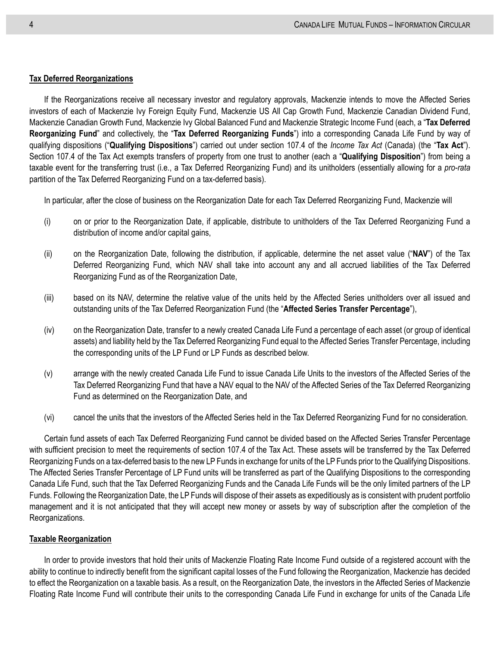#### **Tax Deferred Reorganizations**

If the Reorganizations receive all necessary investor and regulatory approvals, Mackenzie intends to move the Affected Series investors of each of Mackenzie Ivy Foreign Equity Fund, Mackenzie US All Cap Growth Fund, Mackenzie Canadian Dividend Fund, Mackenzie Canadian Growth Fund, Mackenzie Ivy Global Balanced Fund and Mackenzie Strategic Income Fund (each, a "**Tax Deferred Reorganizing Fund**" and collectively, the "**Tax Deferred Reorganizing Funds**") into a corresponding Canada Life Fund by way of qualifying dispositions ("**Qualifying Dispositions**") carried out under section 107.4 of the *Income Tax Act* (Canada) (the "**Tax Act**"). Section 107.4 of the Tax Act exempts transfers of property from one trust to another (each a "**Qualifying Disposition**") from being a taxable event for the transferring trust (i.e., a Tax Deferred Reorganizing Fund) and its unitholders (essentially allowing for a *pro-rata* partition of the Tax Deferred Reorganizing Fund on a tax-deferred basis).

In particular, after the close of business on the Reorganization Date for each Tax Deferred Reorganizing Fund, Mackenzie will

- (i) on or prior to the Reorganization Date, if applicable, distribute to unitholders of the Tax Deferred Reorganizing Fund a distribution of income and/or capital gains,
- (ii) on the Reorganization Date, following the distribution, if applicable, determine the net asset value ("**NAV**") of the Tax Deferred Reorganizing Fund, which NAV shall take into account any and all accrued liabilities of the Tax Deferred Reorganizing Fund as of the Reorganization Date,
- (iii) based on its NAV, determine the relative value of the units held by the Affected Series unitholders over all issued and outstanding units of the Tax Deferred Reorganization Fund (the "**Affected Series Transfer Percentage**"),
- (iv) on the Reorganization Date, transfer to a newly created Canada Life Fund a percentage of each asset (or group of identical assets) and liability held by the Tax Deferred Reorganizing Fund equal to the Affected Series Transfer Percentage, including the corresponding units of the LP Fund or LP Funds as described below.
- (v) arrange with the newly created Canada Life Fund to issue Canada Life Units to the investors of the Affected Series of the Tax Deferred Reorganizing Fund that have a NAV equal to the NAV of the Affected Series of the Tax Deferred Reorganizing Fund as determined on the Reorganization Date, and
- (vi) cancel the units that the investors of the Affected Series held in the Tax Deferred Reorganizing Fund for no consideration.

Certain fund assets of each Tax Deferred Reorganizing Fund cannot be divided based on the Affected Series Transfer Percentage with sufficient precision to meet the requirements of section 107.4 of the Tax Act. These assets will be transferred by the Tax Deferred Reorganizing Funds on a tax-deferred basis to the new LP Funds in exchange for units of the LP Funds prior to the Qualifying Dispositions. The Affected Series Transfer Percentage of LP Fund units will be transferred as part of the Qualifying Dispositions to the corresponding Canada Life Fund, such that the Tax Deferred Reorganizing Funds and the Canada Life Funds will be the only limited partners of the LP Funds. Following the Reorganization Date, the LP Funds will dispose of their assets as expeditiously as is consistent with prudent portfolio management and it is not anticipated that they will accept new money or assets by way of subscription after the completion of the Reorganizations.

#### **Taxable Reorganization**

In order to provide investors that hold their units of Mackenzie Floating Rate Income Fund outside of a registered account with the ability to continue to indirectly benefit from the significant capital losses of the Fund following the Reorganization, Mackenzie has decided to effect the Reorganization on a taxable basis. As a result, on the Reorganization Date, the investors in the Affected Series of Mackenzie Floating Rate Income Fund will contribute their units to the corresponding Canada Life Fund in exchange for units of the Canada Life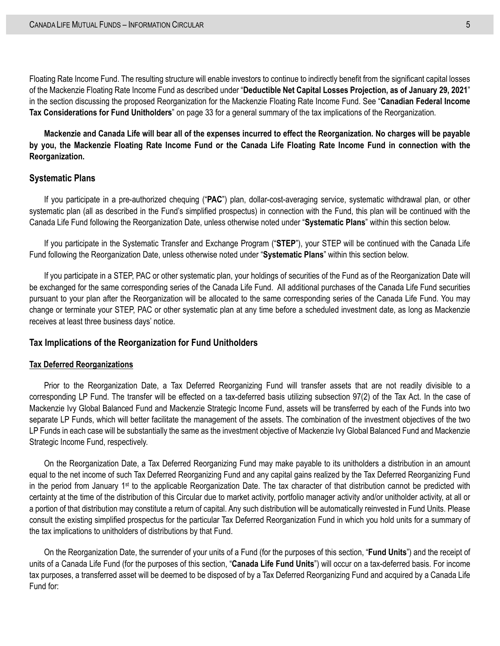Floating Rate Income Fund. The resulting structure will enable investors to continue to indirectly benefit from the significant capital losses of the Mackenzie Floating Rate Income Fund as described under "**[Deductible Net Capital Losses Projection, as of January](#page-37-2) 29, 2021**" in the section discussing the proposed Reorganization for the Mackenzie Floating Rate Income Fund. See "**[Canadian Federal Income](#page-40-0)  [Tax Considerations for Fund Unitholders](#page-40-0)**" on page [33](#page-40-0) for a general summary of the tax implications of the Reorganization.

**Mackenzie and Canada Life will bear all of the expenses incurred to effect the Reorganization. No charges will be payable by you, the Mackenzie Floating Rate Income Fund or the Canada Life Floating Rate Income Fund in connection with the Reorganization.**

#### <span id="page-12-0"></span>**Systematic Plans**

If you participate in a pre-authorized chequing ("**PAC**") plan, dollar-cost-averaging service, systematic withdrawal plan, or other systematic plan (all as described in the Fund's simplified prospectus) in connection with the Fund, this plan will be continued with the Canada Life Fund following the Reorganization Date, unless otherwise noted under "**[Systematic Plans](#page-12-0)**" within this section below.

If you participate in the Systematic Transfer and Exchange Program ("**STEP**"), your STEP will be continued with the Canada Life Fund following the Reorganization Date, unless otherwise noted under "**[Systematic Plans](#page-12-0)**" within this section below.

If you participate in a STEP, PAC or other systematic plan, your holdings of securities of the Fund as of the Reorganization Date will be exchanged for the same corresponding series of the Canada Life Fund. All additional purchases of the Canada Life Fund securities pursuant to your plan after the Reorganization will be allocated to the same corresponding series of the Canada Life Fund. You may change or terminate your STEP, PAC or other systematic plan at any time before a scheduled investment date, as long as Mackenzie receives at least three business days' notice.

#### **Tax Implications of the Reorganization for Fund Unitholders**

#### **Tax Deferred Reorganizations**

Prior to the Reorganization Date, a Tax Deferred Reorganizing Fund will transfer assets that are not readily divisible to a corresponding LP Fund. The transfer will be effected on a tax-deferred basis utilizing subsection 97(2) of the Tax Act. In the case of Mackenzie Ivy Global Balanced Fund and Mackenzie Strategic Income Fund, assets will be transferred by each of the Funds into two separate LP Funds, which will better facilitate the management of the assets. The combination of the investment objectives of the two LP Funds in each case will be substantially the same as the investment objective of Mackenzie Ivy Global Balanced Fund and Mackenzie Strategic Income Fund, respectively.

On the Reorganization Date, a Tax Deferred Reorganizing Fund may make payable to its unitholders a distribution in an amount equal to the net income of such Tax Deferred Reorganizing Fund and any capital gains realized by the Tax Deferred Reorganizing Fund in the period from January 1st to the applicable Reorganization Date. The tax character of that distribution cannot be predicted with certainty at the time of the distribution of this Circular due to market activity, portfolio manager activity and/or unitholder activity, at all or a portion of that distribution may constitute a return of capital. Any such distribution will be automatically reinvested in Fund Units. Please consult the existing simplified prospectus for the particular Tax Deferred Reorganization Fund in which you hold units for a summary of the tax implications to unitholders of distributions by that Fund.

On the Reorganization Date, the surrender of your units of a Fund (for the purposes of this section, "**Fund Units**") and the receipt of units of a Canada Life Fund (for the purposes of this section, "**Canada Life Fund Units**") will occur on a tax-deferred basis. For income tax purposes, a transferred asset will be deemed to be disposed of by a Tax Deferred Reorganizing Fund and acquired by a Canada Life Fund for: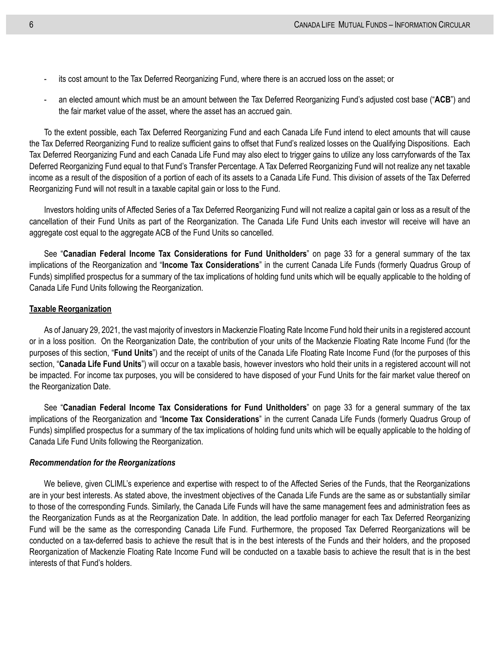- its cost amount to the Tax Deferred Reorganizing Fund, where there is an accrued loss on the asset; or
- an elected amount which must be an amount between the Tax Deferred Reorganizing Fund's adjusted cost base ("**ACB**") and the fair market value of the asset, where the asset has an accrued gain.

To the extent possible, each Tax Deferred Reorganizing Fund and each Canada Life Fund intend to elect amounts that will cause the Tax Deferred Reorganizing Fund to realize sufficient gains to offset that Fund's realized losses on the Qualifying Dispositions. Each Tax Deferred Reorganizing Fund and each Canada Life Fund may also elect to trigger gains to utilize any loss carryforwards of the Tax Deferred Reorganizing Fund equal to that Fund's Transfer Percentage. A Tax Deferred Reorganizing Fund will not realize any net taxable income as a result of the disposition of a portion of each of its assets to a Canada Life Fund. This division of assets of the Tax Deferred Reorganizing Fund will not result in a taxable capital gain or loss to the Fund.

Investors holding units of Affected Series of a Tax Deferred Reorganizing Fund will not realize a capital gain or loss as a result of the cancellation of their Fund Units as part of the Reorganization. The Canada Life Fund Units each investor will receive will have an aggregate cost equal to the aggregate ACB of the Fund Units so cancelled.

See "**[Canadian Federal Income Tax Considerations for Fund Unitholders](#page-40-0)**" on page [33](#page-40-0) for a general summary of the tax implications of the Reorganization and "**Income Tax Considerations**" in the current Canada Life Funds (formerly Quadrus Group of Funds) simplified prospectus for a summary of the tax implications of holding fund units which will be equally applicable to the holding of Canada Life Fund Units following the Reorganization.

#### **Taxable Reorganization**

As of January 29, 2021, the vast majority of investors in Mackenzie Floating Rate Income Fund hold their units in a registered account or in a loss position. On the Reorganization Date, the contribution of your units of the Mackenzie Floating Rate Income Fund (for the purposes of this section, "**Fund Units**") and the receipt of units of the Canada Life Floating Rate Income Fund (for the purposes of this section, "**Canada Life Fund Units**") will occur on a taxable basis, however investors who hold their units in a registered account will not be impacted. For income tax purposes, you will be considered to have disposed of your Fund Units for the fair market value thereof on the Reorganization Date.

See "**[Canadian Federal Income Tax Considerations for Fund Unitholders](#page-40-0)**" on page [33](#page-40-0) for a general summary of the tax implications of the Reorganization and "**Income Tax Considerations**" in the current Canada Life Funds (formerly Quadrus Group of Funds) simplified prospectus for a summary of the tax implications of holding fund units which will be equally applicable to the holding of Canada Life Fund Units following the Reorganization.

#### *Recommendation for the Reorganizations*

We believe, given CLIML's experience and expertise with respect to of the Affected Series of the Funds, that the Reorganizations are in your best interests. As stated above, the investment objectives of the Canada Life Funds are the same as or substantially similar to those of the corresponding Funds. Similarly, the Canada Life Funds will have the same management fees and administration fees as the Reorganization Funds as at the Reorganization Date. In addition, the lead portfolio manager for each Tax Deferred Reorganizing Fund will be the same as the corresponding Canada Life Fund. Furthermore, the proposed Tax Deferred Reorganizations will be conducted on a tax-deferred basis to achieve the result that is in the best interests of the Funds and their holders, and the proposed Reorganization of Mackenzie Floating Rate Income Fund will be conducted on a taxable basis to achieve the result that is in the best interests of that Fund's holders.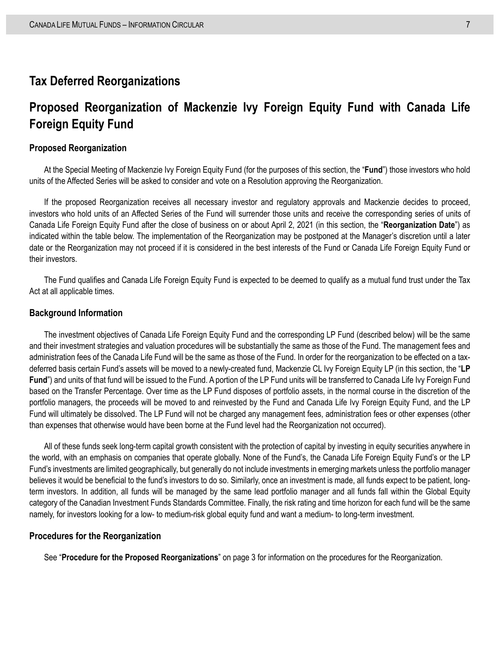### <span id="page-14-0"></span>**Tax Deferred Reorganizations**

## <span id="page-14-1"></span>**Proposed Reorganization of Mackenzie Ivy Foreign Equity Fund with Canada Life Foreign Equity Fund**

#### **Proposed Reorganization**

At the Special Meeting of Mackenzie Ivy Foreign Equity Fund (for the purposes of this section, the "**Fund**") those investors who hold units of the Affected Series will be asked to consider and vote on a Resolution approving the Reorganization.

If the proposed Reorganization receives all necessary investor and regulatory approvals and Mackenzie decides to proceed, investors who hold units of an Affected Series of the Fund will surrender those units and receive the corresponding series of units of Canada Life Foreign Equity Fund after the close of business on or about April 2, 2021 (in this section, the "**Reorganization Date**") as indicated within the table below. The implementation of the Reorganization may be postponed at the Manager's discretion until a later date or the Reorganization may not proceed if it is considered in the best interests of the Fund or Canada Life Foreign Equity Fund or their investors.

The Fund qualifies and Canada Life Foreign Equity Fund is expected to be deemed to qualify as a mutual fund trust under the Tax Act at all applicable times.

#### **Background Information**

The investment objectives of Canada Life Foreign Equity Fund and the corresponding LP Fund (described below) will be the same and their investment strategies and valuation procedures will be substantially the same as those of the Fund. The management fees and administration fees of the Canada Life Fund will be the same as those of the Fund. In order for the reorganization to be effected on a taxdeferred basis certain Fund's assets will be moved to a newly-created fund, Mackenzie CL Ivy Foreign Equity LP (in this section, the "**LP Fund**") and units of that fund will be issued to the Fund. A portion of the LP Fund units will be transferred to Canada Life Ivy Foreign Fund based on the Transfer Percentage. Over time as the LP Fund disposes of portfolio assets, in the normal course in the discretion of the portfolio managers, the proceeds will be moved to and reinvested by the Fund and Canada Life Ivy Foreign Equity Fund, and the LP Fund will ultimately be dissolved. The LP Fund will not be charged any management fees, administration fees or other expenses (other than expenses that otherwise would have been borne at the Fund level had the Reorganization not occurred).

All of these funds seek long-term capital growth consistent with the protection of capital by investing in equity securities anywhere in the world, with an emphasis on companies that operate globally. None of the Fund's, the Canada Life Foreign Equity Fund's or the LP Fund's investments are limited geographically, but generally do not include investments in emerging markets unless the portfolio manager believes it would be beneficial to the fund's investors to do so. Similarly, once an investment is made, all funds expect to be patient, longterm investors. In addition, all funds will be managed by the same lead portfolio manager and all funds fall within the Global Equity category of the Canadian Investment Funds Standards Committee. Finally, the risk rating and time horizon for each fund will be the same namely, for investors looking for a low- to medium-risk global equity fund and want a medium- to long-term investment.

#### **Procedures for the Reorganization**

See "**[Procedure for the Proposed Reorganizations](#page-10-0)**" on page [3](#page-10-0) for information on the procedures for the Reorganization.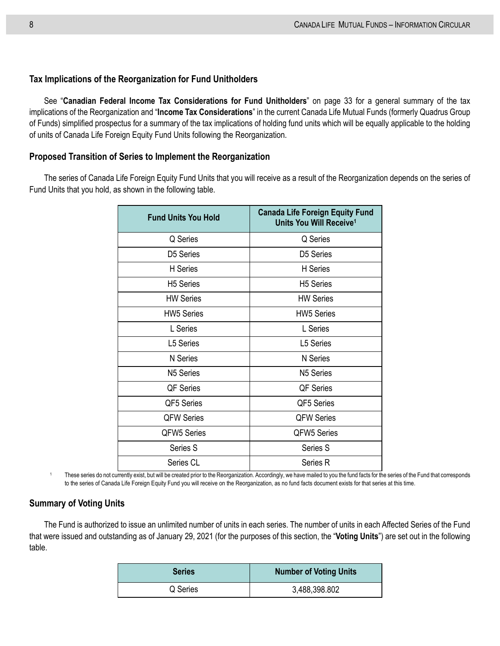#### **Tax Implications of the Reorganization for Fund Unitholders**

See "**[Canadian Federal Income Tax Considerations for Fund Unitholders](#page-40-0)**" on page [33](#page-40-0) for a general summary of the tax implications of the Reorganization and "**Income Tax Considerations**" in the current Canada Life Mutual Funds (formerly Quadrus Group of Funds) simplified prospectus for a summary of the tax implications of holding fund units which will be equally applicable to the holding of units of Canada Life Foreign Equity Fund Units following the Reorganization.

#### **Proposed Transition of Series to Implement the Reorganization**

The series of Canada Life Foreign Equity Fund Units that you will receive as a result of the Reorganization depends on the series of Fund Units that you hold, as shown in the following table.

| <b>Fund Units You Hold</b> | <b>Canada Life Foreign Equity Fund</b><br>Units You Will Receive <sup>1</sup> |
|----------------------------|-------------------------------------------------------------------------------|
| Q Series                   | Q Series                                                                      |
| D5 Series                  | D <sub>5</sub> Series                                                         |
| H Series                   | H Series                                                                      |
| <b>H5 Series</b>           | <b>H5 Series</b>                                                              |
| <b>HW Series</b>           | <b>HW Series</b>                                                              |
| <b>HW5 Series</b>          | <b>HW5 Series</b>                                                             |
| L Series                   | L Series                                                                      |
| L5 Series                  | L5 Series                                                                     |
| N Series                   | <b>N</b> Series                                                               |
| N <sub>5</sub> Series      | N <sub>5</sub> Series                                                         |
| QF Series                  | QF Series                                                                     |
| QF5 Series                 | QF5 Series                                                                    |
| <b>QFW Series</b>          | <b>QFW Series</b>                                                             |
| QFW5 Series                | <b>QFW5 Series</b>                                                            |
| Series S                   | Series S                                                                      |
| Series CL                  | Series R                                                                      |

<sup>1</sup> These series do not currently exist, but will be created prior to the Reorganization. Accordingly, we have mailed to you the fund facts for the series of the Fund that corresponds to the series of Canada Life Foreign Equity Fund you will receive on the Reorganization, as no fund facts document exists for that series at this time.

#### **Summary of Voting Units**

The Fund is authorized to issue an unlimited number of units in each series. The number of units in each Affected Series of the Fund that were issued and outstanding as of January 29, 2021 (for the purposes of this section, the "**Voting Units**") are set out in the following table.

| <b>Series</b> | <b>Number of Voting Units</b> |
|---------------|-------------------------------|
| Q Series      | 3,488,398.802                 |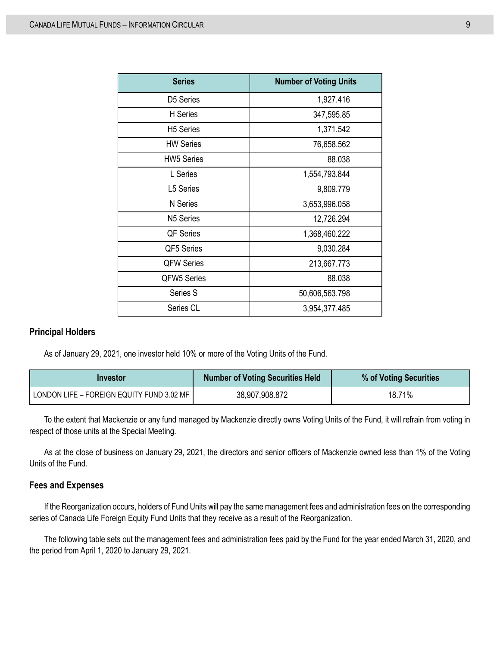| <b>Series</b>      | <b>Number of Voting Units</b> |
|--------------------|-------------------------------|
| D5 Series          | 1,927.416                     |
| H Series           | 347,595.85                    |
| <b>H5 Series</b>   | 1,371.542                     |
| <b>HW Series</b>   | 76,658.562                    |
| <b>HW5 Series</b>  | 88.038                        |
| L Series           | 1,554,793.844                 |
| L5 Series          | 9,809.779                     |
| N Series           | 3,653,996.058                 |
| N5 Series          | 12,726.294                    |
| <b>QF Series</b>   | 1,368,460.222                 |
| QF5 Series         | 9,030.284                     |
| <b>QFW Series</b>  | 213,667.773                   |
| <b>QFW5 Series</b> | 88.038                        |
| Series S           | 50,606,563.798                |
| Series CL          | 3,954,377.485                 |

#### **Principal Holders**

As of January 29, 2021, one investor held 10% or more of the Voting Units of the Fund.

| Investor                                  | <b>Number of Voting Securities Held</b> | % of Voting Securities |
|-------------------------------------------|-----------------------------------------|------------------------|
| LONDON LIFE - FOREIGN EQUITY FUND 3.02 MF | 38,907,908.872                          | 18.71%                 |

To the extent that Mackenzie or any fund managed by Mackenzie directly owns Voting Units of the Fund, it will refrain from voting in respect of those units at the Special Meeting.

As at the close of business on January 29, 2021, the directors and senior officers of Mackenzie owned less than 1% of the Voting Units of the Fund.

#### **Fees and Expenses**

If the Reorganization occurs, holders of Fund Units will pay the same management fees and administration fees on the corresponding series of Canada Life Foreign Equity Fund Units that they receive as a result of the Reorganization.

The following table sets out the management fees and administration fees paid by the Fund for the year ended March 31, 2020, and the period from April 1, 2020 to January 29, 2021.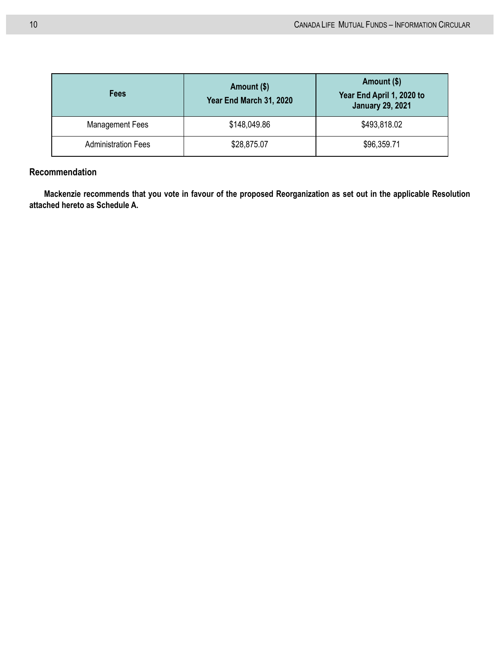| <b>Fees</b>                | Amount (\$)<br>Year End March 31, 2020 | Amount (\$)<br>Year End April 1, 2020 to<br><b>January 29, 2021</b> |
|----------------------------|----------------------------------------|---------------------------------------------------------------------|
| <b>Management Fees</b>     | \$148,049.86                           | \$493,818.02                                                        |
| <b>Administration Fees</b> | \$28,875.07                            | \$96,359.71                                                         |

### **Recommendation**

**Mackenzie recommends that you vote in favour of the proposed Reorganization as set out in the applicable Resolution attached hereto as Schedule A.**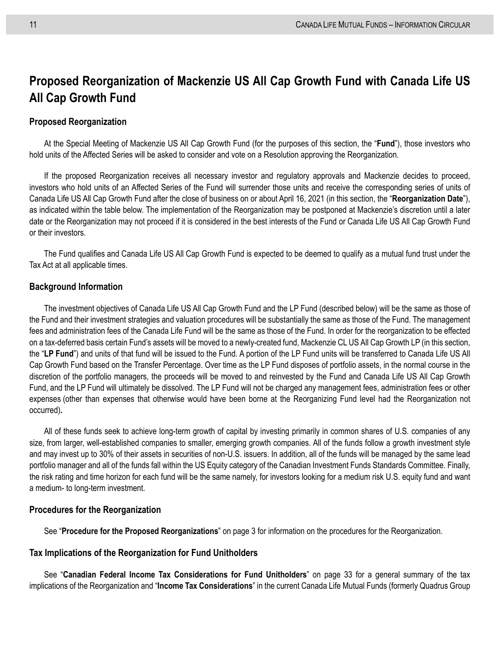## <span id="page-18-0"></span>**Proposed Reorganization of Mackenzie US All Cap Growth Fund with Canada Life US All Cap Growth Fund**

#### **Proposed Reorganization**

At the Special Meeting of Mackenzie US All Cap Growth Fund (for the purposes of this section, the "**Fund**"), those investors who hold units of the Affected Series will be asked to consider and vote on a Resolution approving the Reorganization.

If the proposed Reorganization receives all necessary investor and regulatory approvals and Mackenzie decides to proceed, investors who hold units of an Affected Series of the Fund will surrender those units and receive the corresponding series of units of Canada Life US All Cap Growth Fund after the close of business on or about April 16, 2021 (in this section, the "**Reorganization Date**"), as indicated within the table below. The implementation of the Reorganization may be postponed at Mackenzie's discretion until a later date or the Reorganization may not proceed if it is considered in the best interests of the Fund or Canada Life US All Cap Growth Fund or their investors.

The Fund qualifies and Canada Life US All Cap Growth Fund is expected to be deemed to qualify as a mutual fund trust under the Tax Act at all applicable times.

#### **Background Information**

The investment objectives of Canada Life US All Cap Growth Fund and the LP Fund (described below) will be the same as those of the Fund and their investment strategies and valuation procedures will be substantially the same as those of the Fund. The management fees and administration fees of the Canada Life Fund will be the same as those of the Fund. In order for the reorganization to be effected on a tax-deferred basis certain Fund's assets will be moved to a newly-created fund, Mackenzie CL US All Cap Growth LP (in this section, the "**LP Fund**") and units of that fund will be issued to the Fund. A portion of the LP Fund units will be transferred to Canada Life US All Cap Growth Fund based on the Transfer Percentage. Over time as the LP Fund disposes of portfolio assets, in the normal course in the discretion of the portfolio managers, the proceeds will be moved to and reinvested by the Fund and Canada Life US All Cap Growth Fund, and the LP Fund will ultimately be dissolved. The LP Fund will not be charged any management fees, administration fees or other expenses (other than expenses that otherwise would have been borne at the Reorganizing Fund level had the Reorganization not occurred)**.**

All of these funds seek to achieve long-term growth of capital by investing primarily in common shares of U.S. companies of any size, from larger, well-established companies to smaller, emerging growth companies. All of the funds follow a growth investment style and may invest up to 30% of their assets in securities of non-U.S. issuers. In addition, all of the funds will be managed by the same lead portfolio manager and all of the funds fall within the US Equity category of the Canadian Investment Funds Standards Committee. Finally, the risk rating and time horizon for each fund will be the same namely, for investors looking for a medium risk U.S. equity fund and want a medium- to long-term investment.

#### **Procedures for the Reorganization**

See "**[Procedure for the Proposed Reorganizations](#page-10-0)**" on page [3](#page-10-0) for information on the procedures for the Reorganization.

#### **Tax Implications of the Reorganization for Fund Unitholders**

See "**[Canadian Federal Income Tax Considerations for Fund Unitholders](#page-40-0)**" on page [33](#page-40-0) for a general summary of the tax implications of the Reorganization and "**Income Tax Considerations**" in the current Canada Life Mutual Funds (formerly Quadrus Group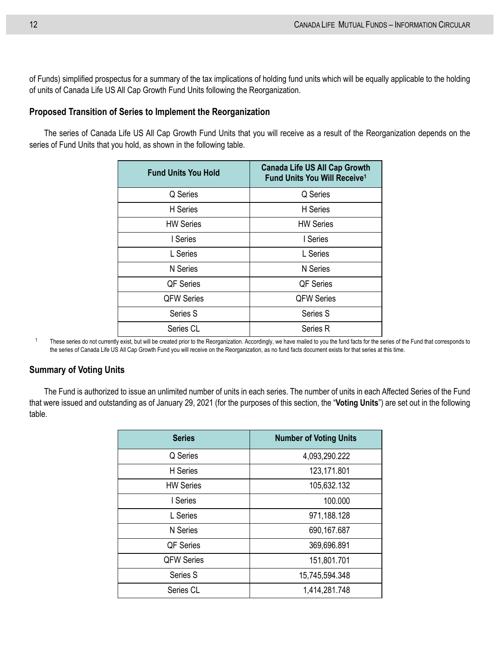of Funds) simplified prospectus for a summary of the tax implications of holding fund units which will be equally applicable to the holding of units of Canada Life US All Cap Growth Fund Units following the Reorganization.

#### **Proposed Transition of Series to Implement the Reorganization**

The series of Canada Life US All Cap Growth Fund Units that you will receive as a result of the Reorganization depends on the series of Fund Units that you hold, as shown in the following table.

| <b>Fund Units You Hold</b> | <b>Canada Life US All Cap Growth</b><br>Fund Units You Will Receive <sup>1</sup> |
|----------------------------|----------------------------------------------------------------------------------|
| Q Series                   | Q Series                                                                         |
| H Series                   | H Series                                                                         |
| <b>HW Series</b>           | <b>HW Series</b>                                                                 |
| I Series                   | I Series                                                                         |
| L Series                   | L Series                                                                         |
| <b>N</b> Series            | N Series                                                                         |
| <b>QF Series</b>           | <b>QF</b> Series                                                                 |
| <b>QFW Series</b>          | <b>QFW Series</b>                                                                |
| Series S                   | Series S                                                                         |
| Series CL                  | Series R                                                                         |

<sup>1</sup> These series do not currently exist, but will be created prior to the Reorganization. Accordingly, we have mailed to you the fund facts for the series of the Fund that corresponds to the series of Canada Life US All Cap Growth Fund you will receive on the Reorganization, as no fund facts document exists for that series at this time.

#### **Summary of Voting Units**

The Fund is authorized to issue an unlimited number of units in each series. The number of units in each Affected Series of the Fund that were issued and outstanding as of January 29, 2021 (for the purposes of this section, the "**Voting Units**") are set out in the following table.

| <b>Series</b>     | <b>Number of Voting Units</b> |
|-------------------|-------------------------------|
| Q Series          | 4,093,290.222                 |
| <b>H</b> Series   | 123,171.801                   |
| <b>HW Series</b>  | 105,632.132                   |
| I Series          | 100.000                       |
| L Series          | 971,188.128                   |
| N Series          | 690,167.687                   |
| QF Series         | 369,696.891                   |
| <b>QFW Series</b> | 151,801.701                   |
| Series S          | 15,745,594.348                |
| Series CL         | 1,414,281.748                 |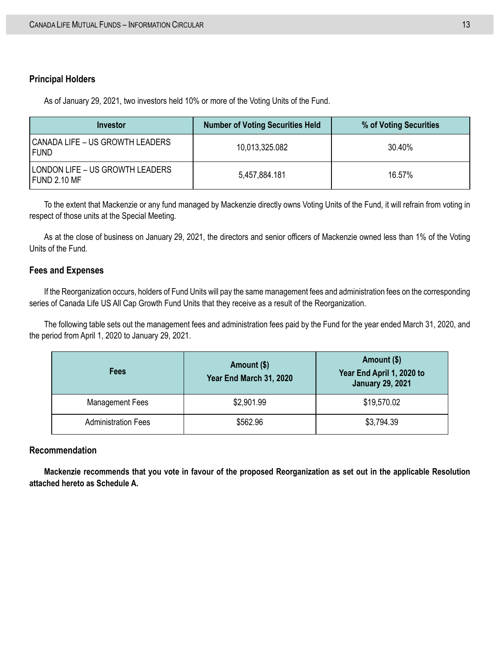#### **Principal Holders**

As of January 29, 2021, two investors held 10% or more of the Voting Units of the Fund.

| Investor                                        | <b>Number of Voting Securities Held</b> | % of Voting Securities |
|-------------------------------------------------|-----------------------------------------|------------------------|
| CANADA LIFE – US GROWTH LEADERS<br>I FUND       | 10,013,325.082                          | 30.40%                 |
| LONDON LIFE – US GROWTH LEADERS<br>FUND 2.10 MF | 5,457,884.181                           | 16.57%                 |

To the extent that Mackenzie or any fund managed by Mackenzie directly owns Voting Units of the Fund, it will refrain from voting in respect of those units at the Special Meeting.

As at the close of business on January 29, 2021, the directors and senior officers of Mackenzie owned less than 1% of the Voting Units of the Fund.

#### **Fees and Expenses**

If the Reorganization occurs, holders of Fund Units will pay the same management fees and administration fees on the corresponding series of Canada Life US All Cap Growth Fund Units that they receive as a result of the Reorganization.

The following table sets out the management fees and administration fees paid by the Fund for the year ended March 31, 2020, and the period from April 1, 2020 to January 29, 2021.

| Fees                       | Amount (\$)<br>Year End March 31, 2020 | Amount (\$)<br>Year End April 1, 2020 to<br><b>January 29, 2021</b> |
|----------------------------|----------------------------------------|---------------------------------------------------------------------|
| <b>Management Fees</b>     | \$2,901.99                             | \$19,570.02                                                         |
| <b>Administration Fees</b> | \$562.96                               | \$3,794.39                                                          |

#### **Recommendation**

**Mackenzie recommends that you vote in favour of the proposed Reorganization as set out in the applicable Resolution attached hereto as Schedule A.**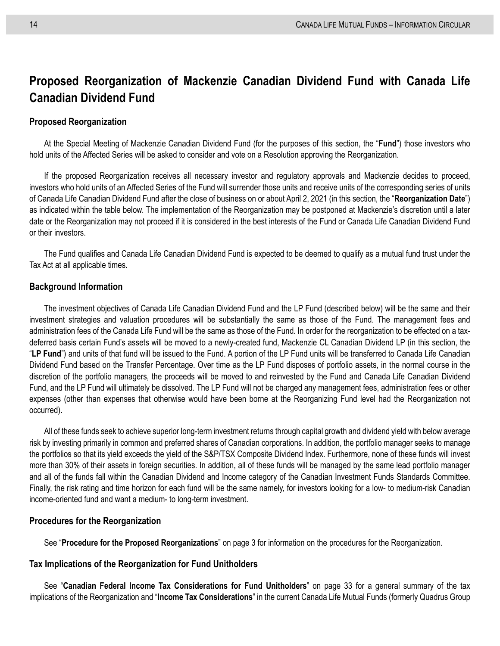## <span id="page-21-0"></span>**Proposed Reorganization of Mackenzie Canadian Dividend Fund with Canada Life Canadian Dividend Fund**

#### **Proposed Reorganization**

At the Special Meeting of Mackenzie Canadian Dividend Fund (for the purposes of this section, the "**Fund**") those investors who hold units of the Affected Series will be asked to consider and vote on a Resolution approving the Reorganization.

If the proposed Reorganization receives all necessary investor and regulatory approvals and Mackenzie decides to proceed, investors who hold units of an Affected Series of the Fund will surrender those units and receive units of the corresponding series of units of Canada Life Canadian Dividend Fund after the close of business on or about April 2, 2021 (in this section, the "**Reorganization Date**") as indicated within the table below. The implementation of the Reorganization may be postponed at Mackenzie's discretion until a later date or the Reorganization may not proceed if it is considered in the best interests of the Fund or Canada Life Canadian Dividend Fund or their investors.

The Fund qualifies and Canada Life Canadian Dividend Fund is expected to be deemed to qualify as a mutual fund trust under the Tax Act at all applicable times.

#### **Background Information**

The investment objectives of Canada Life Canadian Dividend Fund and the LP Fund (described below) will be the same and their investment strategies and valuation procedures will be substantially the same as those of the Fund. The management fees and administration fees of the Canada Life Fund will be the same as those of the Fund. In order for the reorganization to be effected on a taxdeferred basis certain Fund's assets will be moved to a newly-created fund, Mackenzie CL Canadian Dividend LP (in this section, the "**LP Fund**") and units of that fund will be issued to the Fund. A portion of the LP Fund units will be transferred to Canada Life Canadian Dividend Fund based on the Transfer Percentage. Over time as the LP Fund disposes of portfolio assets, in the normal course in the discretion of the portfolio managers, the proceeds will be moved to and reinvested by the Fund and Canada Life Canadian Dividend Fund, and the LP Fund will ultimately be dissolved. The LP Fund will not be charged any management fees, administration fees or other expenses (other than expenses that otherwise would have been borne at the Reorganizing Fund level had the Reorganization not occurred)**.**

All of these funds seek to achieve superior long-term investment returns through capital growth and dividend yield with below average risk by investing primarily in common and preferred shares of Canadian corporations. In addition, the portfolio manager seeks to manage the portfolios so that its yield exceeds the yield of the S&P/TSX Composite Dividend Index. Furthermore, none of these funds will invest more than 30% of their assets in foreign securities. In addition, all of these funds will be managed by the same lead portfolio manager and all of the funds fall within the Canadian Dividend and Income category of the Canadian Investment Funds Standards Committee. Finally, the risk rating and time horizon for each fund will be the same namely, for investors looking for a low- to medium-risk Canadian income-oriented fund and want a medium- to long-term investment.

#### **Procedures for the Reorganization**

See "**[Procedure for the Proposed Reorganizations](#page-10-0)**" on page [3](#page-10-0) for information on the procedures for the Reorganization.

#### **Tax Implications of the Reorganization for Fund Unitholders**

See "**[Canadian Federal Income Tax Considerations for Fund Unitholders](#page-40-0)**" on page [33](#page-40-0) for a general summary of the tax implications of the Reorganization and "**Income Tax Considerations**" in the current Canada Life Mutual Funds (formerly Quadrus Group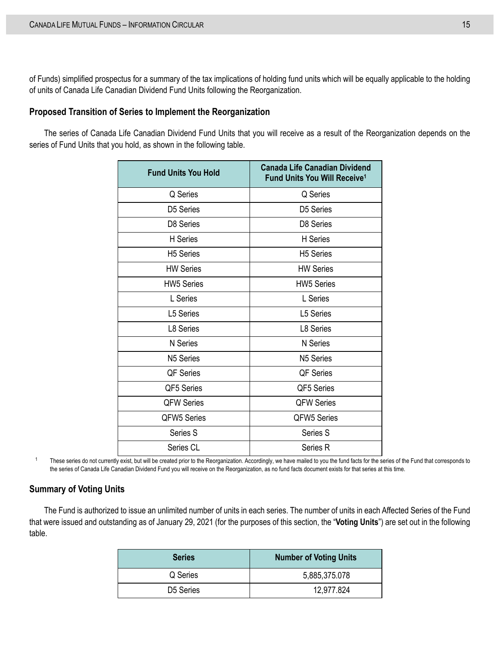of Funds) simplified prospectus for a summary of the tax implications of holding fund units which will be equally applicable to the holding of units of Canada Life Canadian Dividend Fund Units following the Reorganization.

#### **Proposed Transition of Series to Implement the Reorganization**

The series of Canada Life Canadian Dividend Fund Units that you will receive as a result of the Reorganization depends on the series of Fund Units that you hold, as shown in the following table.

| <b>Fund Units You Hold</b> | <b>Canada Life Canadian Dividend</b><br><b>Fund Units You Will Receive<sup>1</sup></b> |
|----------------------------|----------------------------------------------------------------------------------------|
| Q Series                   | Q Series                                                                               |
| D <sub>5</sub> Series      | D5 Series                                                                              |
| D <sub>8</sub> Series      | D8 Series                                                                              |
| H Series                   | H Series                                                                               |
| <b>H5</b> Series           | <b>H5 Series</b>                                                                       |
| <b>HW Series</b>           | <b>HW Series</b>                                                                       |
| <b>HW5 Series</b>          | <b>HW5 Series</b>                                                                      |
| L Series                   | L Series                                                                               |
| L5 Series                  | L5 Series                                                                              |
| L8 Series                  | L8 Series                                                                              |
| N Series                   | N Series                                                                               |
| N <sub>5</sub> Series      | N <sub>5</sub> Series                                                                  |
| QF Series                  | <b>QF Series</b>                                                                       |
| QF5 Series                 | QF5 Series                                                                             |
| <b>QFW Series</b>          | <b>QFW Series</b>                                                                      |
| <b>QFW5 Series</b>         | <b>QFW5 Series</b>                                                                     |
| Series S                   | Series S                                                                               |
| Series CL                  | Series R                                                                               |

<sup>1</sup> These series do not currently exist, but will be created prior to the Reorganization. Accordingly, we have mailed to you the fund facts for the series of the Fund that corresponds to the series of Canada Life Canadian Dividend Fund you will receive on the Reorganization, as no fund facts document exists for that series at this time.

#### **Summary of Voting Units**

The Fund is authorized to issue an unlimited number of units in each series. The number of units in each Affected Series of the Fund that were issued and outstanding as of January 29, 2021 (for the purposes of this section, the "**Voting Units**") are set out in the following table.

| <b>Series</b> | <b>Number of Voting Units</b> |
|---------------|-------------------------------|
| Q Series      | 5,885,375.078                 |
| D5 Series     | 12,977.824                    |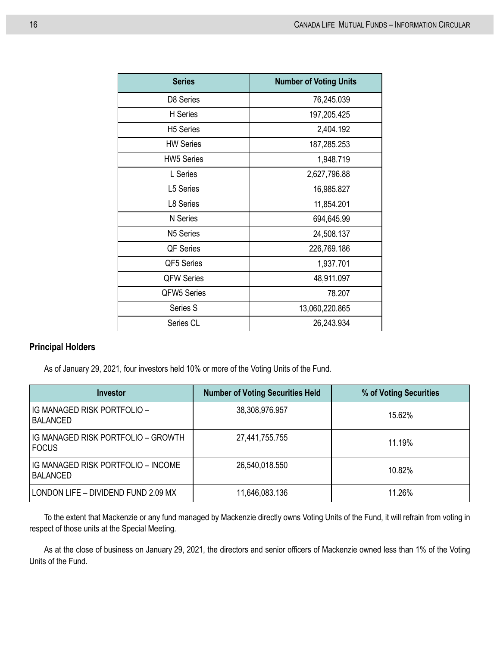| <b>Series</b>      | <b>Number of Voting Units</b> |
|--------------------|-------------------------------|
| D8 Series          | 76,245.039                    |
| H Series           | 197,205.425                   |
| <b>H5 Series</b>   | 2,404.192                     |
| <b>HW Series</b>   | 187,285.253                   |
| <b>HW5 Series</b>  | 1,948.719                     |
| L Series           | 2,627,796.88                  |
| L5 Series          | 16,985.827                    |
| L8 Series          | 11,854.201                    |
| N Series           | 694,645.99                    |
| N5 Series          | 24,508.137                    |
| QF Series          | 226,769.186                   |
| QF5 Series         | 1,937.701                     |
| <b>QFW Series</b>  | 48,911.097                    |
| <b>QFW5 Series</b> | 78.207                        |
| Series S           | 13,060,220.865                |
| Series CL          | 26,243.934                    |

### **Principal Holders**

As of January 29, 2021, four investors held 10% or more of the Voting Units of the Fund.

| Investor                                           | <b>Number of Voting Securities Held</b> | % of Voting Securities |
|----------------------------------------------------|-----------------------------------------|------------------------|
| IG MANAGED RISK PORTFOLIO -<br><b>BALANCED</b>     | 38,308,976.957                          | 15.62%                 |
| IG MANAGED RISK PORTFOLIO - GROWTH<br><b>FOCUS</b> | 27,441,755.755                          | 11.19%                 |
| IG MANAGED RISK PORTFOLIO - INCOME<br>BALANCED     | 26,540,018.550                          | 10.82%                 |
| LONDON LIFE - DIVIDEND FUND 2.09 MX                | 11,646,083.136                          | 11.26%                 |

To the extent that Mackenzie or any fund managed by Mackenzie directly owns Voting Units of the Fund, it will refrain from voting in respect of those units at the Special Meeting.

As at the close of business on January 29, 2021, the directors and senior officers of Mackenzie owned less than 1% of the Voting Units of the Fund.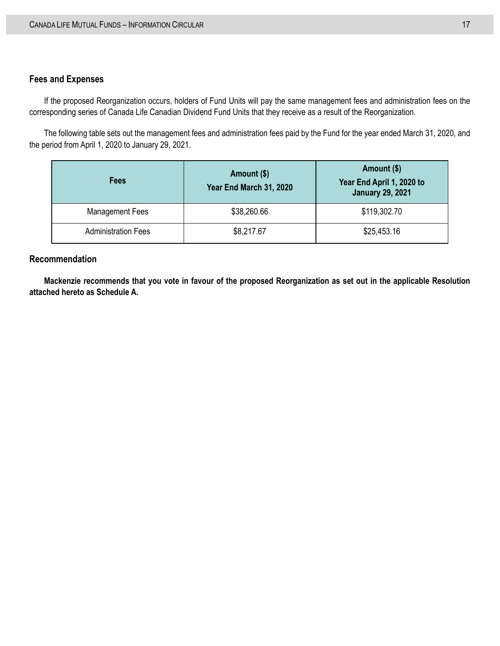#### **Fees and Expenses**

If the proposed Reorganization occurs, holders of Fund Units will pay the same management fees and administration fees on the corresponding series of Canada Life Canadian Dividend Fund Units that they receive as a result of the Reorganization.

The following table sets out the management fees and administration fees paid by the Fund for the year ended March 31, 2020, and the period from April 1, 2020 to January 29, 2021.

| <b>Fees</b>                | Amount (\$)<br>Year End March 31, 2020 | Amount (\$)<br>Year End April 1, 2020 to<br><b>January 29, 2021</b> |
|----------------------------|----------------------------------------|---------------------------------------------------------------------|
| <b>Management Fees</b>     | \$38,260.66                            | \$119,302.70                                                        |
| <b>Administration Fees</b> | \$8,217.67                             | \$25,453.16                                                         |

#### **Recommendation**

**Mackenzie recommends that you vote in favour of the proposed Reorganization as set out in the applicable Resolution attached hereto as Schedule A.**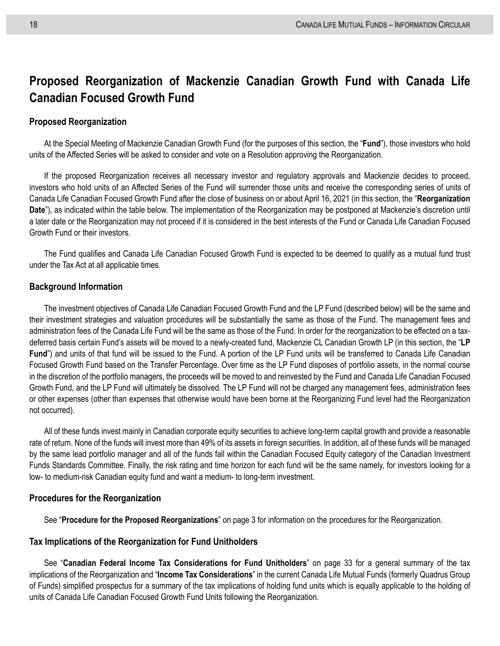## <span id="page-25-0"></span>**Proposed Reorganization of Mackenzie Canadian Growth Fund with Canada Life Canadian Focused Growth Fund**

#### **Proposed Reorganization**

At the Special Meeting of Mackenzie Canadian Growth Fund (for the purposes of this section, the "**Fund**"), those investors who hold units of the Affected Series will be asked to consider and vote on a Resolution approving the Reorganization.

If the proposed Reorganization receives all necessary investor and regulatory approvals and Mackenzie decides to proceed, investors who hold units of an Affected Series of the Fund will surrender those units and receive the corresponding series of units of Canada Life Canadian Focused Growth Fund after the close of business on or about April 16, 2021 (in this section, the "**Reorganization Date**"), as indicated within the table below. The implementation of the Reorganization may be postponed at Mackenzie's discretion until a later date or the Reorganization may not proceed if it is considered in the best interests of the Fund or Canada Life Canadian Focused Growth Fund or their investors.

The Fund qualifies and Canada Life Canadian Focused Growth Fund is expected to be deemed to qualify as a mutual fund trust under the Tax Act at all applicable times.

#### **Background Information**

The investment objectives of Canada Life Canadian Focused Growth Fund and the LP Fund (described below) will be the same and their investment strategies and valuation procedures will be substantially the same as those of the Fund. The management fees and administration fees of the Canada Life Fund will be the same as those of the Fund. In order for the reorganization to be effected on a taxdeferred basis certain Fund's assets will be moved to a newly-created fund, Mackenzie CL Canadian Growth LP (in this section, the "**LP Fund**") and units of that fund will be issued to the Fund. A portion of the LP Fund units will be transferred to Canada Life Canadian Focused Growth Fund based on the Transfer Percentage. Over time as the LP Fund disposes of portfolio assets, in the normal course in the discretion of the portfolio managers, the proceeds will be moved to and reinvested by the Fund and Canada Life Canadian Focused Growth Fund, and the LP Fund will ultimately be dissolved. The LP Fund will not be charged any management fees, administration fees or other expenses (other than expenses that otherwise would have been borne at the Reorganizing Fund level had the Reorganization not occurred).

All of these funds invest mainly in Canadian corporate equity securities to achieve long-term capital growth and provide a reasonable rate of return. None of the funds will invest more than 49% of its assets in foreign securities. In addition, all of these funds will be managed by the same lead portfolio manager and all of the funds fall within the Canadian Focused Equity category of the Canadian Investment Funds Standards Committee. Finally, the risk rating and time horizon for each fund will be the same namely, for investors looking for a low- to medium-risk Canadian equity fund and want a medium- to long-term investment.

#### **Procedures for the Reorganization**

See "**[Procedure for the Proposed Reorganizations](#page-10-0)**" on page [3](#page-10-0) for information on the procedures for the Reorganization.

#### **Tax Implications of the Reorganization for Fund Unitholders**

See "**[Canadian Federal Income Tax Considerations for Fund Unitholders](#page-40-0)**" on page [33](#page-40-0) for a general summary of the tax implications of the Reorganization and "**Income Tax Considerations**" in the current Canada Life Mutual Funds (formerly Quadrus Group of Funds) simplified prospectus for a summary of the tax implications of holding fund units which is equally applicable to the holding of units of Canada Life Canadian Focused Growth Fund Units following the Reorganization.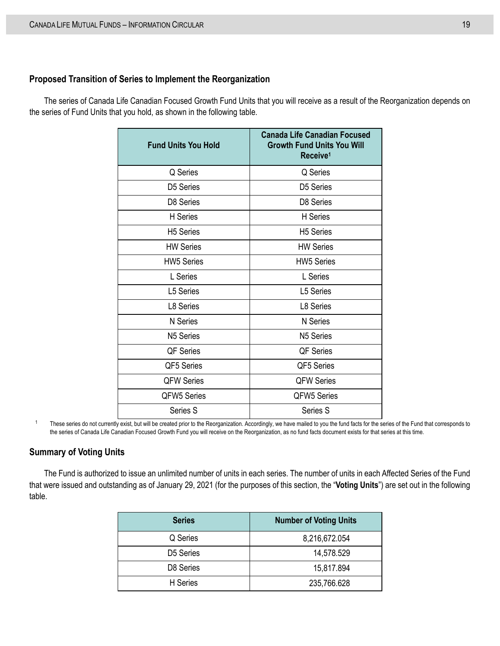#### **Proposed Transition of Series to Implement the Reorganization**

The series of Canada Life Canadian Focused Growth Fund Units that you will receive as a result of the Reorganization depends on the series of Fund Units that you hold, as shown in the following table.

| <b>Fund Units You Hold</b> | <b>Canada Life Canadian Focused</b><br><b>Growth Fund Units You Will</b><br>Receive <sup>1</sup> |
|----------------------------|--------------------------------------------------------------------------------------------------|
| Q Series                   | Q Series                                                                                         |
| D5 Series                  | D5 Series                                                                                        |
| D8 Series                  | D8 Series                                                                                        |
| H Series                   | <b>H</b> Series                                                                                  |
| <b>H5</b> Series           | <b>H5</b> Series                                                                                 |
| <b>HW Series</b>           | <b>HW Series</b>                                                                                 |
| <b>HW5 Series</b>          | <b>HW5 Series</b>                                                                                |
| L Series                   | L Series                                                                                         |
| <b>L5 Series</b>           | L5 Series                                                                                        |
| L8 Series                  | L8 Series                                                                                        |
| N Series                   | <b>N</b> Series                                                                                  |
| N <sub>5</sub> Series      | N <sub>5</sub> Series                                                                            |
| QF Series                  | <b>QF Series</b>                                                                                 |
| QF5 Series                 | QF5 Series                                                                                       |
| <b>QFW Series</b>          | <b>QFW Series</b>                                                                                |
| <b>QFW5 Series</b>         | <b>QFW5 Series</b>                                                                               |
| Series S                   | Series S                                                                                         |

<sup>1</sup> These series do not currently exist, but will be created prior to the Reorganization. Accordingly, we have mailed to you the fund facts for the series of the Fund that corresponds to the series of Canada Life Canadian Focused Growth Fund you will receive on the Reorganization, as no fund facts document exists for that series at this time.

#### **Summary of Voting Units**

The Fund is authorized to issue an unlimited number of units in each series. The number of units in each Affected Series of the Fund that were issued and outstanding as of January 29, 2021 (for the purposes of this section, the "**Voting Units**") are set out in the following table.

| <b>Series</b> | <b>Number of Voting Units</b> |
|---------------|-------------------------------|
| Q Series      | 8,216,672.054                 |
| D5 Series     | 14,578.529                    |
| D8 Series     | 15,817.894                    |
| H Series      | 235,766.628                   |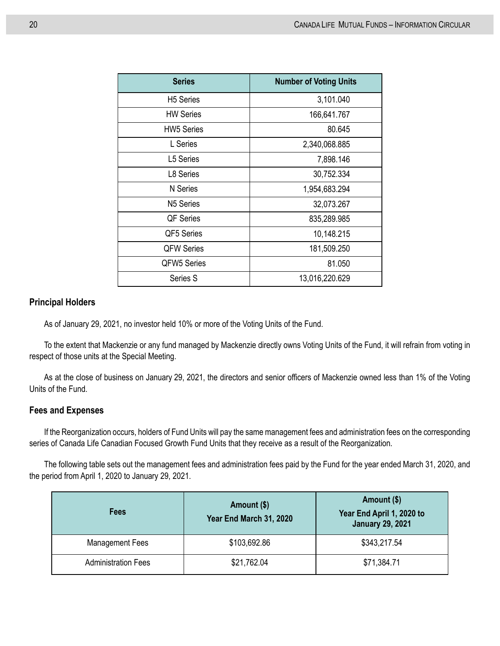| <b>Series</b>      | <b>Number of Voting Units</b> |
|--------------------|-------------------------------|
| <b>H5</b> Series   | 3,101.040                     |
| <b>HW Series</b>   | 166,641.767                   |
| <b>HW5 Series</b>  | 80.645                        |
| L Series           | 2,340,068.885                 |
| L5 Series          | 7,898.146                     |
| L8 Series          | 30,752.334                    |
| N Series           | 1,954,683.294                 |
| N5 Series          | 32,073.267                    |
| QF Series          | 835,289.985                   |
| QF5 Series         | 10,148.215                    |
| <b>QFW Series</b>  | 181,509.250                   |
| <b>QFW5 Series</b> | 81.050                        |
| Series S           | 13,016,220.629                |

#### **Principal Holders**

As of January 29, 2021, no investor held 10% or more of the Voting Units of the Fund.

To the extent that Mackenzie or any fund managed by Mackenzie directly owns Voting Units of the Fund, it will refrain from voting in respect of those units at the Special Meeting.

As at the close of business on January 29, 2021, the directors and senior officers of Mackenzie owned less than 1% of the Voting Units of the Fund.

#### **Fees and Expenses**

If the Reorganization occurs, holders of Fund Units will pay the same management fees and administration fees on the corresponding series of Canada Life Canadian Focused Growth Fund Units that they receive as a result of the Reorganization.

The following table sets out the management fees and administration fees paid by the Fund for the year ended March 31, 2020, and the period from April 1, 2020 to January 29, 2021.

| Fees                       | Amount (\$)<br>Year End March 31, 2020 | Amount (\$)<br>Year End April 1, 2020 to<br><b>January 29, 2021</b> |
|----------------------------|----------------------------------------|---------------------------------------------------------------------|
| <b>Management Fees</b>     | \$103,692.86                           | \$343,217.54                                                        |
| <b>Administration Fees</b> | \$21,762.04                            | \$71,384.71                                                         |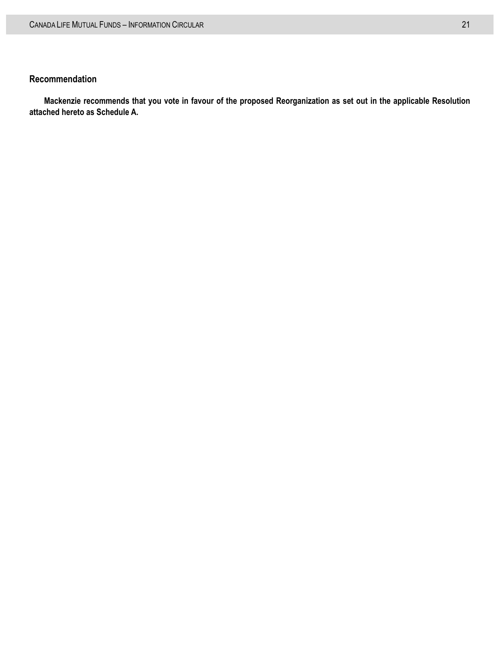#### **Recommendation**

**Mackenzie recommends that you vote in favour of the proposed Reorganization as set out in the applicable Resolution attached hereto as Schedule A.**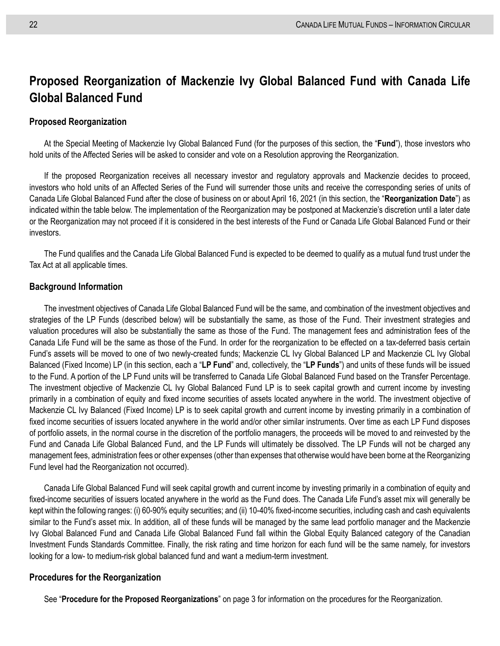## <span id="page-29-0"></span>**Proposed Reorganization of Mackenzie Ivy Global Balanced Fund with Canada Life Global Balanced Fund**

#### **Proposed Reorganization**

At the Special Meeting of Mackenzie Ivy Global Balanced Fund (for the purposes of this section, the "**Fund**"), those investors who hold units of the Affected Series will be asked to consider and vote on a Resolution approving the Reorganization.

If the proposed Reorganization receives all necessary investor and regulatory approvals and Mackenzie decides to proceed, investors who hold units of an Affected Series of the Fund will surrender those units and receive the corresponding series of units of Canada Life Global Balanced Fund after the close of business on or about April 16, 2021 (in this section, the "**Reorganization Date**") as indicated within the table below. The implementation of the Reorganization may be postponed at Mackenzie's discretion until a later date or the Reorganization may not proceed if it is considered in the best interests of the Fund or Canada Life Global Balanced Fund or their investors.

The Fund qualifies and the Canada Life Global Balanced Fund is expected to be deemed to qualify as a mutual fund trust under the Tax Act at all applicable times.

#### **Background Information**

The investment objectives of Canada Life Global Balanced Fund will be the same, and combination of the investment objectives and strategies of the LP Funds (described below) will be substantially the same, as those of the Fund. Their investment strategies and valuation procedures will also be substantially the same as those of the Fund. The management fees and administration fees of the Canada Life Fund will be the same as those of the Fund. In order for the reorganization to be effected on a tax-deferred basis certain Fund's assets will be moved to one of two newly-created funds; Mackenzie CL Ivy Global Balanced LP and Mackenzie CL Ivy Global Balanced (Fixed Income) LP (in this section, each a "**LP Fund**" and, collectively, the "**LP Funds**") and units of these funds will be issued to the Fund. A portion of the LP Fund units will be transferred to Canada Life Global Balanced Fund based on the Transfer Percentage. The investment objective of Mackenzie CL Ivy Global Balanced Fund LP is to seek capital growth and current income by investing primarily in a combination of equity and fixed income securities of assets located anywhere in the world. The investment objective of Mackenzie CL Ivy Balanced (Fixed Income) LP is to seek capital growth and current income by investing primarily in a combination of fixed income securities of issuers located anywhere in the world and/or other similar instruments. Over time as each LP Fund disposes of portfolio assets, in the normal course in the discretion of the portfolio managers, the proceeds will be moved to and reinvested by the Fund and Canada Life Global Balanced Fund, and the LP Funds will ultimately be dissolved. The LP Funds will not be charged any management fees, administration fees or other expenses (other than expenses that otherwise would have been borne at the Reorganizing Fund level had the Reorganization not occurred).

Canada Life Global Balanced Fund will seek capital growth and current income by investing primarily in a combination of equity and fixed-income securities of issuers located anywhere in the world as the Fund does. The Canada Life Fund's asset mix will generally be kept within the following ranges: (i) 60-90% equity securities; and (ii) 10-40% fixed-income securities, including cash and cash equivalents similar to the Fund's asset mix. In addition, all of these funds will be managed by the same lead portfolio manager and the Mackenzie Ivy Global Balanced Fund and Canada Life Global Balanced Fund fall within the Global Equity Balanced category of the Canadian Investment Funds Standards Committee. Finally, the risk rating and time horizon for each fund will be the same namely, for investors looking for a low- to medium-risk global balanced fund and want a medium-term investment.

#### **Procedures for the Reorganization**

See "**[Procedure for the Proposed Reorganizations](#page-10-0)**" on page [3](#page-10-0) for information on the procedures for the Reorganization.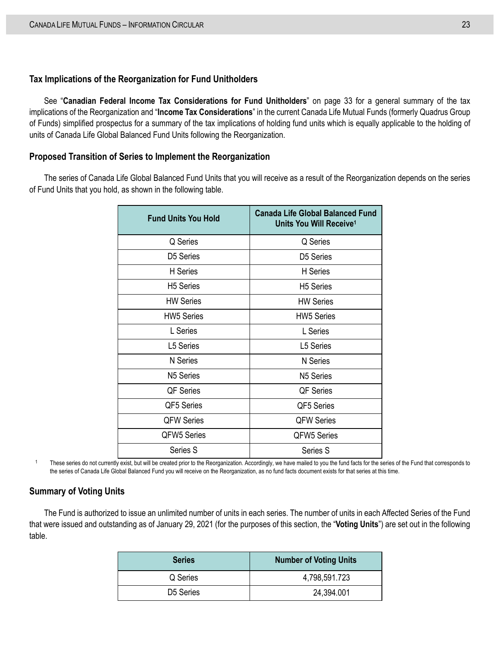#### **Tax Implications of the Reorganization for Fund Unitholders**

See "**[Canadian Federal Income Tax Considerations for Fund Unitholders](#page-40-0)**" on page [33](#page-40-0) for a general summary of the tax implications of the Reorganization and "**Income Tax Considerations**" in the current Canada Life Mutual Funds (formerly Quadrus Group of Funds) simplified prospectus for a summary of the tax implications of holding fund units which is equally applicable to the holding of units of Canada Life Global Balanced Fund Units following the Reorganization.

#### **Proposed Transition of Series to Implement the Reorganization**

The series of Canada Life Global Balanced Fund Units that you will receive as a result of the Reorganization depends on the series of Fund Units that you hold, as shown in the following table.

| <b>Fund Units You Hold</b> | <b>Canada Life Global Balanced Fund</b><br>Units You Will Receive <sup>1</sup> |
|----------------------------|--------------------------------------------------------------------------------|
| Q Series                   | Q Series                                                                       |
| D5 Series                  | D5 Series                                                                      |
| H Series                   | H Series                                                                       |
| <b>H5</b> Series           | H <sub>5</sub> Series                                                          |
| <b>HW Series</b>           | <b>HW Series</b>                                                               |
| <b>HW5 Series</b>          | <b>HW5 Series</b>                                                              |
| L Series                   | L Series                                                                       |
| L5 Series                  | L5 Series                                                                      |
| N Series                   | N Series                                                                       |
| N <sub>5</sub> Series      | N <sub>5</sub> Series                                                          |
| QF Series                  | QF Series                                                                      |
| QF5 Series                 | QF5 Series                                                                     |
| <b>QFW Series</b>          | <b>QFW Series</b>                                                              |
| <b>QFW5 Series</b>         | QFW5 Series                                                                    |
| Series S                   | Series S                                                                       |

<sup>1</sup> These series do not currently exist, but will be created prior to the Reorganization. Accordingly, we have mailed to you the fund facts for the series of the Fund that corresponds to the series of Canada Life Global Balanced Fund you will receive on the Reorganization, as no fund facts document exists for that series at this time.

#### **Summary of Voting Units**

The Fund is authorized to issue an unlimited number of units in each series. The number of units in each Affected Series of the Fund that were issued and outstanding as of January 29, 2021 (for the purposes of this section, the "**Voting Units**") are set out in the following table.

| <b>Series</b> | <b>Number of Voting Units</b> |
|---------------|-------------------------------|
| Q Series      | 4,798,591.723                 |
| D5 Series     | 24,394.001                    |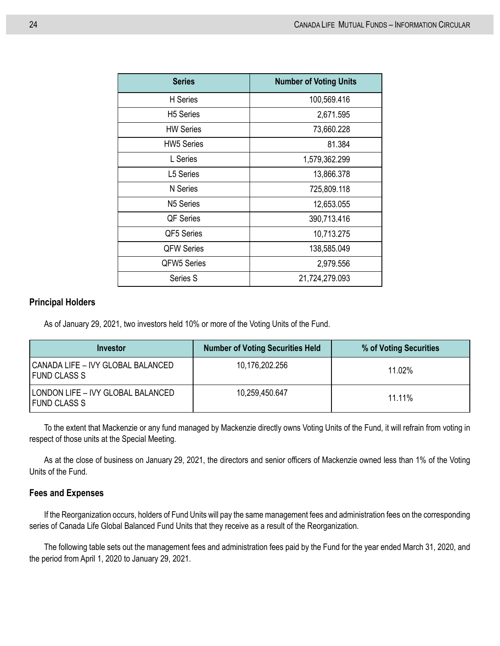| <b>Series</b>      | <b>Number of Voting Units</b> |
|--------------------|-------------------------------|
| H Series           | 100,569.416                   |
| <b>H5</b> Series   | 2,671.595                     |
| <b>HW Series</b>   | 73,660.228                    |
| <b>HW5 Series</b>  | 81.384                        |
| L Series           | 1,579,362.299                 |
| L5 Series          | 13,866.378                    |
| N Series           | 725,809.118                   |
| N5 Series          | 12,653.055                    |
| QF Series          | 390,713.416                   |
| QF5 Series         | 10,713.275                    |
| <b>QFW Series</b>  | 138,585.049                   |
| <b>QFW5 Series</b> | 2,979.556                     |
| Series S           | 21,724,279.093                |

#### **Principal Holders**

As of January 29, 2021, two investors held 10% or more of the Voting Units of the Fund.

| Investor                                                   | <b>Number of Voting Securities Held</b> | % of Voting Securities |
|------------------------------------------------------------|-----------------------------------------|------------------------|
| l CANADA LIFE – IVY GLOBAL BALANCED<br><b>FUND CLASS S</b> | 10,176,202.256                          | 11.02%                 |
| l LONDON LIFE – IVY GLOBAL BALANCED<br><b>FUND CLASS S</b> | 10,259,450.647                          | 11 11%                 |

To the extent that Mackenzie or any fund managed by Mackenzie directly owns Voting Units of the Fund, it will refrain from voting in respect of those units at the Special Meeting.

As at the close of business on January 29, 2021, the directors and senior officers of Mackenzie owned less than 1% of the Voting Units of the Fund.

#### **Fees and Expenses**

If the Reorganization occurs, holders of Fund Units will pay the same management fees and administration fees on the corresponding series of Canada Life Global Balanced Fund Units that they receive as a result of the Reorganization.

The following table sets out the management fees and administration fees paid by the Fund for the year ended March 31, 2020, and the period from April 1, 2020 to January 29, 2021.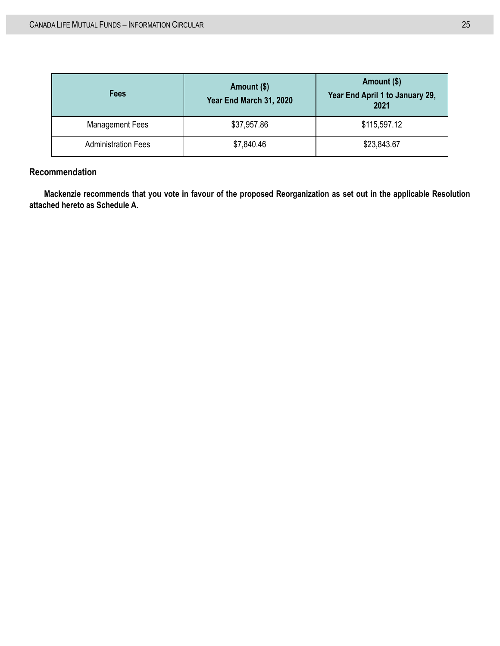| <b>Fees</b>                | Amount (\$)<br>Year End March 31, 2020 | Amount (\$)<br>Year End April 1 to January 29,<br>2021 |
|----------------------------|----------------------------------------|--------------------------------------------------------|
| <b>Management Fees</b>     | \$37,957.86                            | \$115,597.12                                           |
| <b>Administration Fees</b> | \$7,840.46                             | \$23,843.67                                            |

### **Recommendation**

**Mackenzie recommends that you vote in favour of the proposed Reorganization as set out in the applicable Resolution attached hereto as Schedule A.**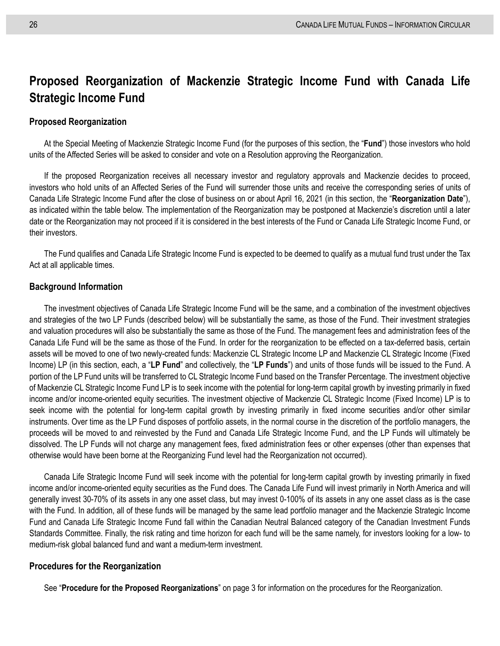## <span id="page-33-0"></span>**Proposed Reorganization of Mackenzie Strategic Income Fund with Canada Life Strategic Income Fund**

#### **Proposed Reorganization**

At the Special Meeting of Mackenzie Strategic Income Fund (for the purposes of this section, the "**Fund**") those investors who hold units of the Affected Series will be asked to consider and vote on a Resolution approving the Reorganization.

If the proposed Reorganization receives all necessary investor and regulatory approvals and Mackenzie decides to proceed, investors who hold units of an Affected Series of the Fund will surrender those units and receive the corresponding series of units of Canada Life Strategic Income Fund after the close of business on or about April 16, 2021 (in this section, the "**Reorganization Date**"), as indicated within the table below. The implementation of the Reorganization may be postponed at Mackenzie's discretion until a later date or the Reorganization may not proceed if it is considered in the best interests of the Fund or Canada Life Strategic Income Fund, or their investors.

The Fund qualifies and Canada Life Strategic Income Fund is expected to be deemed to qualify as a mutual fund trust under the Tax Act at all applicable times.

#### **Background Information**

The investment objectives of Canada Life Strategic Income Fund will be the same, and a combination of the investment objectives and strategies of the two LP Funds (described below) will be substantially the same, as those of the Fund. Their investment strategies and valuation procedures will also be substantially the same as those of the Fund. The management fees and administration fees of the Canada Life Fund will be the same as those of the Fund. In order for the reorganization to be effected on a tax-deferred basis, certain assets will be moved to one of two newly-created funds: Mackenzie CL Strategic Income LP and Mackenzie CL Strategic Income (Fixed Income) LP (in this section, each, a "**LP Fund**" and collectively, the "**LP Funds**") and units of those funds will be issued to the Fund. A portion of the LP Fund units will be transferred to CL Strategic Income Fund based on the Transfer Percentage. The investment objective of Mackenzie CL Strategic Income Fund LP is to seek income with the potential for long-term capital growth by investing primarily in fixed income and/or income-oriented equity securities. The investment objective of Mackenzie CL Strategic Income (Fixed Income) LP is to seek income with the potential for long-term capital growth by investing primarily in fixed income securities and/or other similar instruments. Over time as the LP Fund disposes of portfolio assets, in the normal course in the discretion of the portfolio managers, the proceeds will be moved to and reinvested by the Fund and Canada Life Strategic Income Fund, and the LP Funds will ultimately be dissolved. The LP Funds will not charge any management fees, fixed administration fees or other expenses (other than expenses that otherwise would have been borne at the Reorganizing Fund level had the Reorganization not occurred).

Canada Life Strategic Income Fund will seek income with the potential for long-term capital growth by investing primarily in fixed income and/or income-oriented equity securities as the Fund does. The Canada Life Fund will invest primarily in North America and will generally invest 30-70% of its assets in any one asset class, but may invest 0-100% of its assets in any one asset class as is the case with the Fund. In addition, all of these funds will be managed by the same lead portfolio manager and the Mackenzie Strategic Income Fund and Canada Life Strategic Income Fund fall within the Canadian Neutral Balanced category of the Canadian Investment Funds Standards Committee. Finally, the risk rating and time horizon for each fund will be the same namely, for investors looking for a low- to medium-risk global balanced fund and want a medium-term investment.

#### **Procedures for the Reorganization**

See "**[Procedure for the Proposed Reorganizations](#page-10-0)**" on page [3](#page-10-0) for information on the procedures for the Reorganization.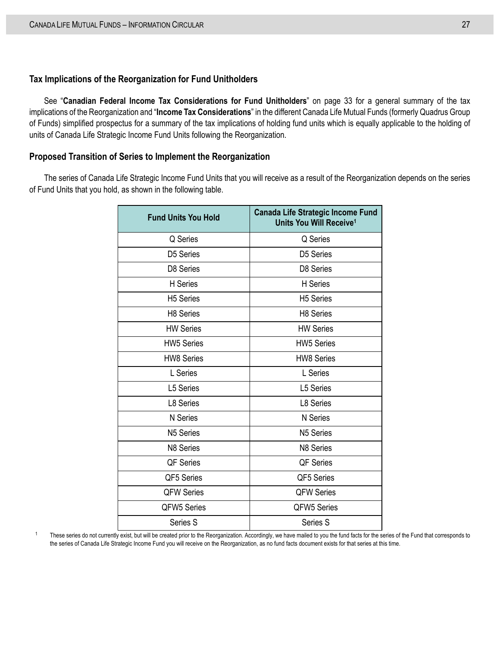#### **Tax Implications of the Reorganization for Fund Unitholders**

See "**[Canadian Federal Income Tax Considerations for Fund Unitholders](#page-40-0)**" on page [33](#page-40-0) for a general summary of the tax implications of the Reorganization and "**Income Tax Considerations**" in the different Canada Life Mutual Funds (formerly Quadrus Group of Funds) simplified prospectus for a summary of the tax implications of holding fund units which is equally applicable to the holding of units of Canada Life Strategic Income Fund Units following the Reorganization.

#### **Proposed Transition of Series to Implement the Reorganization**

The series of Canada Life Strategic Income Fund Units that you will receive as a result of the Reorganization depends on the series of Fund Units that you hold, as shown in the following table.

| <b>Fund Units You Hold</b> | <b>Canada Life Strategic Income Fund</b><br>Units You Will Receive <sup>1</sup> |
|----------------------------|---------------------------------------------------------------------------------|
| Q Series                   | Q Series                                                                        |
| D5 Series                  | D5 Series                                                                       |
| D8 Series                  | D8 Series                                                                       |
| <b>H</b> Series            | H Series                                                                        |
| <b>H5 Series</b>           | <b>H5 Series</b>                                                                |
| H <sub>8</sub> Series      | H8 Series                                                                       |
| <b>HW Series</b>           | <b>HW Series</b>                                                                |
| <b>HW5 Series</b>          | <b>HW5 Series</b>                                                               |
| <b>HW8 Series</b>          | <b>HW8 Series</b>                                                               |
| L Series                   | L Series                                                                        |
| <b>L5 Series</b>           | <b>L5 Series</b>                                                                |
| L8 Series                  | L8 Series                                                                       |
| N Series                   | N Series                                                                        |
| N <sub>5</sub> Series      | N5 Series                                                                       |
| N8 Series                  | N8 Series                                                                       |
| <b>QF Series</b>           | <b>QF Series</b>                                                                |
| QF5 Series                 | QF5 Series                                                                      |
| <b>QFW Series</b>          | <b>QFW Series</b>                                                               |
| QFW5 Series                | QFW5 Series                                                                     |
| Series S                   | Series S                                                                        |

<sup>1</sup> These series do not currently exist, but will be created prior to the Reorganization. Accordingly, we have mailed to you the fund facts for the series of the Fund that corresponds to the series of Canada Life Strategic Income Fund you will receive on the Reorganization, as no fund facts document exists for that series at this time.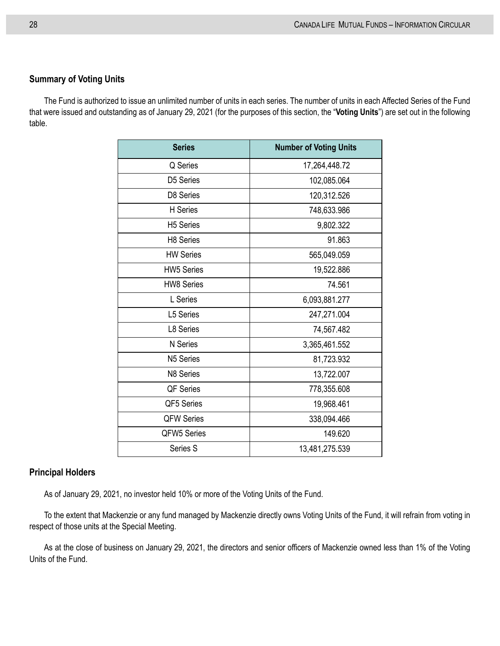#### **Summary of Voting Units**

The Fund is authorized to issue an unlimited number of units in each series. The number of units in each Affected Series of the Fund that were issued and outstanding as of January 29, 2021 (for the purposes of this section, the "**Voting Units**") are set out in the following table.

| <b>Series</b>      | <b>Number of Voting Units</b> |
|--------------------|-------------------------------|
| Q Series           | 17,264,448.72                 |
| D5 Series          | 102,085.064                   |
| D8 Series          | 120,312.526                   |
| H Series           | 748,633.986                   |
| <b>H5 Series</b>   | 9,802.322                     |
| H8 Series          | 91.863                        |
| <b>HW Series</b>   | 565,049.059                   |
| <b>HW5 Series</b>  | 19,522.886                    |
| <b>HW8 Series</b>  | 74.561                        |
| L Series           | 6,093,881.277                 |
| L5 Series          | 247,271.004                   |
| L8 Series          | 74,567.482                    |
| N Series           | 3,365,461.552                 |
| N5 Series          | 81,723.932                    |
| N8 Series          | 13,722.007                    |
| QF Series          | 778,355.608                   |
| QF5 Series         | 19,968.461                    |
| <b>QFW Series</b>  | 338,094.466                   |
| <b>QFW5 Series</b> | 149.620                       |
| Series S           | 13,481,275.539                |

#### **Principal Holders**

As of January 29, 2021, no investor held 10% or more of the Voting Units of the Fund.

To the extent that Mackenzie or any fund managed by Mackenzie directly owns Voting Units of the Fund, it will refrain from voting in respect of those units at the Special Meeting.

As at the close of business on January 29, 2021, the directors and senior officers of Mackenzie owned less than 1% of the Voting Units of the Fund.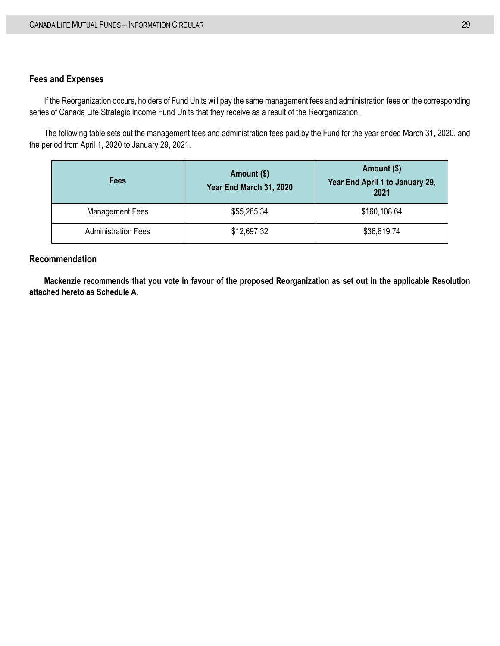#### **Fees and Expenses**

If the Reorganization occurs, holders of Fund Units will pay the same management fees and administration fees on the corresponding series of Canada Life Strategic Income Fund Units that they receive as a result of the Reorganization.

The following table sets out the management fees and administration fees paid by the Fund for the year ended March 31, 2020, and the period from April 1, 2020 to January 29, 2021.

| <b>Fees</b>                | Amount (\$)<br>Year End March 31, 2020 | Amount (\$)<br>Year End April 1 to January 29,<br>2021 |
|----------------------------|----------------------------------------|--------------------------------------------------------|
| <b>Management Fees</b>     | \$55,265.34                            | \$160,108.64                                           |
| <b>Administration Fees</b> | \$12,697.32                            | \$36,819.74                                            |

#### **Recommendation**

**Mackenzie recommends that you vote in favour of the proposed Reorganization as set out in the applicable Resolution attached hereto as Schedule A.**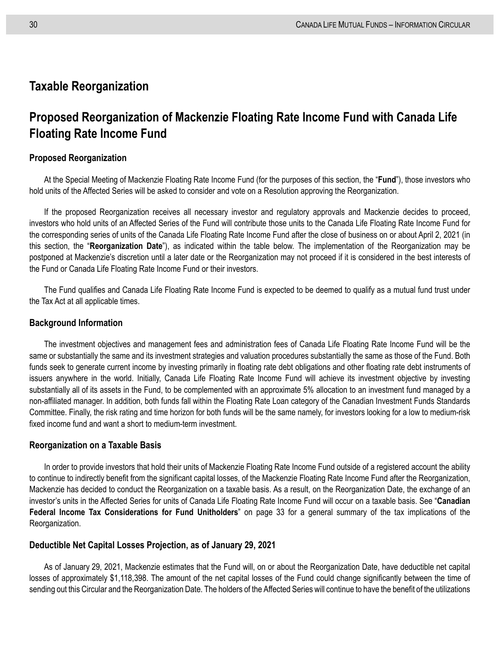### <span id="page-37-0"></span>**Taxable Reorganization**

## <span id="page-37-1"></span>**Proposed Reorganization of Mackenzie Floating Rate Income Fund with Canada Life Floating Rate Income Fund**

#### **Proposed Reorganization**

At the Special Meeting of Mackenzie Floating Rate Income Fund (for the purposes of this section, the "**Fund**"), those investors who hold units of the Affected Series will be asked to consider and vote on a Resolution approving the Reorganization.

If the proposed Reorganization receives all necessary investor and regulatory approvals and Mackenzie decides to proceed, investors who hold units of an Affected Series of the Fund will contribute those units to the Canada Life Floating Rate Income Fund for the corresponding series of units of the Canada Life Floating Rate Income Fund after the close of business on or about April 2, 2021 (in this section, the "**Reorganization Date**"), as indicated within the table below. The implementation of the Reorganization may be postponed at Mackenzie's discretion until a later date or the Reorganization may not proceed if it is considered in the best interests of the Fund or Canada Life Floating Rate Income Fund or their investors.

The Fund qualifies and Canada Life Floating Rate Income Fund is expected to be deemed to qualify as a mutual fund trust under the Tax Act at all applicable times.

#### **Background Information**

The investment objectives and management fees and administration fees of Canada Life Floating Rate Income Fund will be the same or substantially the same and its investment strategies and valuation procedures substantially the same as those of the Fund. Both funds seek to generate current income by investing primarily in floating rate debt obligations and other floating rate debt instruments of issuers anywhere in the world. Initially, Canada Life Floating Rate Income Fund will achieve its investment objective by investing substantially all of its assets in the Fund, to be complemented with an approximate 5% allocation to an investment fund managed by a non-affiliated manager. In addition, both funds fall within the Floating Rate Loan category of the Canadian Investment Funds Standards Committee. Finally, the risk rating and time horizon for both funds will be the same namely, for investors looking for a low to medium-risk fixed income fund and want a short to medium-term investment.

#### **Reorganization on a Taxable Basis**

In order to provide investors that hold their units of Mackenzie Floating Rate Income Fund outside of a registered account the ability to continue to indirectly benefit from the significant capital losses, of the Mackenzie Floating Rate Income Fund after the Reorganization, Mackenzie has decided to conduct the Reorganization on a taxable basis. As a result, on the Reorganization Date, the exchange of an investor's units in the Affected Series for units of Canada Life Floating Rate Income Fund will occur on a taxable basis. See "**[Canadian](#page-40-0)  Federal Income Tax [Considerations for Fund Unitholders](#page-40-0)**" on page [33](#page-40-0) for a general summary of the tax implications of the Reorganization.

#### <span id="page-37-2"></span>**Deductible Net Capital Losses Projection, as of January 29, 2021**

As of January 29, 2021, Mackenzie estimates that the Fund will, on or about the Reorganization Date, have deductible net capital losses of approximately \$1,118,398. The amount of the net capital losses of the Fund could change significantly between the time of sending out this Circular and the Reorganization Date. The holders of the Affected Series will continue to have the benefit of the utilizations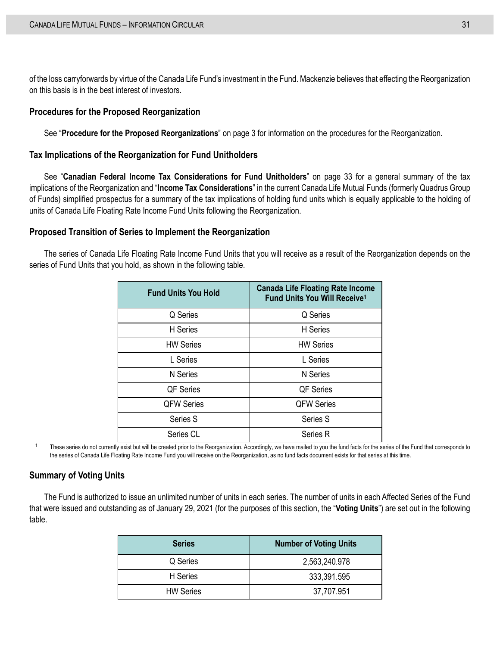of the loss carryforwards by virtue of the Canada Life Fund's investment in the Fund. Mackenzie believes that effecting the Reorganization on this basis is in the best interest of investors.

#### **Procedures for the Proposed Reorganization**

See "**[Procedure for the Proposed Reorganizations](#page-10-0)**" on page [3](#page-10-0) for information on the procedures for the Reorganization.

#### **Tax Implications of the Reorganization for Fund Unitholders**

See "**[Canadian Federal Income Tax Considerations for Fund Unitholders](#page-40-0)**" on page [33](#page-40-0) for a general summary of the tax implications of the Reorganization and "**Income Tax Considerations**" in the current Canada Life Mutual Funds (formerly Quadrus Group of Funds) simplified prospectus for a summary of the tax implications of holding fund units which is equally applicable to the holding of units of Canada Life Floating Rate Income Fund Units following the Reorganization.

#### **Proposed Transition of Series to Implement the Reorganization**

The series of Canada Life Floating Rate Income Fund Units that you will receive as a result of the Reorganization depends on the series of Fund Units that you hold, as shown in the following table.

| <b>Fund Units You Hold</b> | <b>Canada Life Floating Rate Income</b><br>Fund Units You Will Receive <sup>1</sup> |
|----------------------------|-------------------------------------------------------------------------------------|
| Q Series                   | Q Series                                                                            |
| H Series                   | H Series                                                                            |
| <b>HW Series</b>           | <b>HW Series</b>                                                                    |
| L Series                   | L Series                                                                            |
| N Series                   | <b>N</b> Series                                                                     |
| <b>QF Series</b>           | <b>QF Series</b>                                                                    |
| <b>QFW Series</b>          | <b>QFW Series</b>                                                                   |
| Series S                   | Series S                                                                            |
| Series CL                  | Series R                                                                            |

<sup>1</sup> These series do not currently exist but will be created prior to the Reorganization. Accordingly, we have mailed to you the fund facts for the series of the Fund that corresponds to the series of Canada Life Floating Rate Income Fund you will receive on the Reorganization, as no fund facts document exists for that series at this time.

#### **Summary of Voting Units**

The Fund is authorized to issue an unlimited number of units in each series. The number of units in each Affected Series of the Fund that were issued and outstanding as of January 29, 2021 (for the purposes of this section, the "**Voting Units**") are set out in the following table.

| <b>Series</b>    | <b>Number of Voting Units</b> |
|------------------|-------------------------------|
| Q Series         | 2,563,240.978                 |
| H Series         | 333,391.595                   |
| <b>HW Series</b> | 37,707.951                    |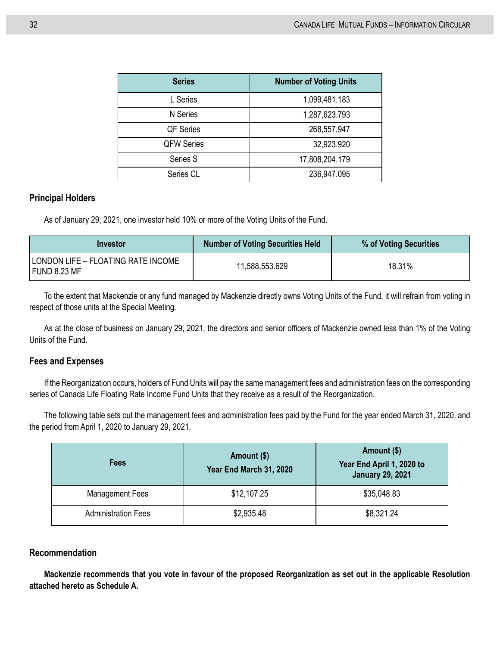| <b>Series</b>     | <b>Number of Voting Units</b> |
|-------------------|-------------------------------|
| L Series          | 1,099,481.183                 |
| N Series          | 1,287,623.793                 |
| QF Series         | 268,557.947                   |
| <b>QFW Series</b> | 32,923.920                    |
| Series S          | 17,808,204.179                |
| Series CL         | 236,947.095                   |

#### **Principal Holders**

As of January 29, 2021, one investor held 10% or more of the Voting Units of the Fund.

| <b>Investor</b>                                    | <b>Number of Voting Securities Held</b> | % of Voting Securities |
|----------------------------------------------------|-----------------------------------------|------------------------|
| LONDON LIFE – FLOATING RATE INCOME<br>FUND 8.23 MF | 11,588,553.629                          | 18.31%                 |

To the extent that Mackenzie or any fund managed by Mackenzie directly owns Voting Units of the Fund, it will refrain from voting in respect of those units at the Special Meeting.

As at the close of business on January 29, 2021, the directors and senior officers of Mackenzie owned less than 1% of the Voting Units of the Fund.

#### **Fees and Expenses**

If the Reorganization occurs, holders of Fund Units will pay the same management fees and administration fees on the corresponding series of Canada Life Floating Rate Income Fund Units that they receive as a result of the Reorganization.

The following table sets out the management fees and administration fees paid by the Fund for the year ended March 31, 2020, and the period from April 1, 2020 to January 29, 2021.

| Fees                       | Amount (\$)<br>Year End March 31, 2020 | Amount (\$)<br>Year End April 1, 2020 to<br><b>January 29, 2021</b> |
|----------------------------|----------------------------------------|---------------------------------------------------------------------|
| <b>Management Fees</b>     | \$12,107.25                            | \$35,048.83                                                         |
| <b>Administration Fees</b> | \$2,935.48                             | \$8,321.24                                                          |

#### **Recommendation**

**Mackenzie recommends that you vote in favour of the proposed Reorganization as set out in the applicable Resolution attached hereto as Schedule A.**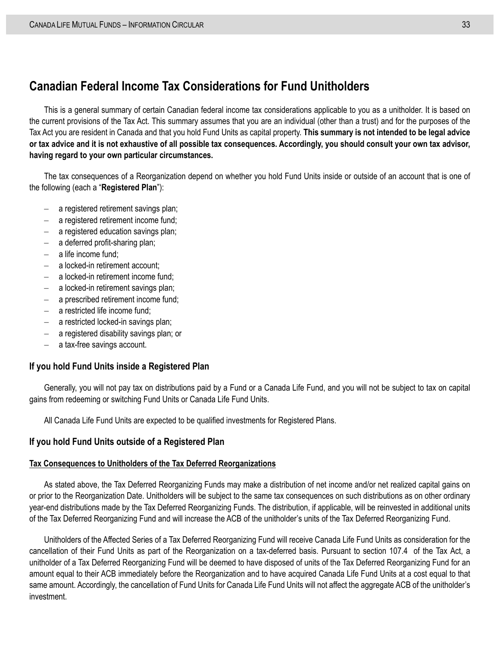## <span id="page-40-0"></span>**Canadian Federal Income Tax Considerations for Fund Unitholders**

This is a general summary of certain Canadian federal income tax considerations applicable to you as a unitholder. It is based on the current provisions of the Tax Act. This summary assumes that you are an individual (other than a trust) and for the purposes of the Tax Act you are resident in Canada and that you hold Fund Units as capital property. **This summary is not intended to be legal advice or tax advice and it is not exhaustive of all possible tax consequences. Accordingly, you should consult your own tax advisor, having regard to your own particular circumstances.**

The tax consequences of a Reorganization depend on whether you hold Fund Units inside or outside of an account that is one of the following (each a "**Registered Plan**"):

- a registered retirement savings plan;
- a registered retirement income fund;
- a registered education savings plan;
- a deferred profit-sharing plan;
- a life income fund:
- a locked-in retirement account;
- a locked-in retirement income fund:
- a locked-in retirement savings plan;
- a prescribed retirement income fund;
- a restricted life income fund:
- a restricted locked-in savings plan;
- a registered disability savings plan; or
- a tax-free savings account.

#### **If you hold Fund Units inside a Registered Plan**

Generally, you will not pay tax on distributions paid by a Fund or a Canada Life Fund, and you will not be subject to tax on capital gains from redeeming or switching Fund Units or Canada Life Fund Units.

All Canada Life Fund Units are expected to be qualified investments for Registered Plans.

#### **If you hold Fund Units outside of a Registered Plan**

#### **Tax Consequences to Unitholders of the Tax Deferred Reorganizations**

As stated above, the Tax Deferred Reorganizing Funds may make a distribution of net income and/or net realized capital gains on or prior to the Reorganization Date. Unitholders will be subject to the same tax consequences on such distributions as on other ordinary year-end distributions made by the Tax Deferred Reorganizing Funds. The distribution, if applicable, will be reinvested in additional units of the Tax Deferred Reorganizing Fund and will increase the ACB of the unitholder's units of the Tax Deferred Reorganizing Fund.

Unitholders of the Affected Series of a Tax Deferred Reorganizing Fund will receive Canada Life Fund Units as consideration for the cancellation of their Fund Units as part of the Reorganization on a tax-deferred basis. Pursuant to section 107.4 of the Tax Act, a unitholder of a Tax Deferred Reorganizing Fund will be deemed to have disposed of units of the Tax Deferred Reorganizing Fund for an amount equal to their ACB immediately before the Reorganization and to have acquired Canada Life Fund Units at a cost equal to that same amount. Accordingly, the cancellation of Fund Units for Canada Life Fund Units will not affect the aggregate ACB of the unitholder's investment.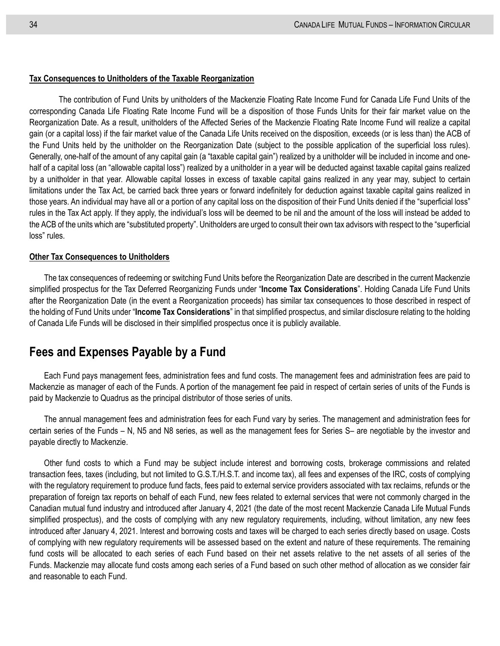#### **Tax Consequences to Unitholders of the Taxable Reorganization**

The contribution of Fund Units by unitholders of the Mackenzie Floating Rate Income Fund for Canada Life Fund Units of the corresponding Canada Life Floating Rate Income Fund will be a disposition of those Funds Units for their fair market value on the Reorganization Date. As a result, unitholders of the Affected Series of the Mackenzie Floating Rate Income Fund will realize a capital gain (or a capital loss) if the fair market value of the Canada Life Units received on the disposition, exceeds (or is less than) the ACB of the Fund Units held by the unitholder on the Reorganization Date (subject to the possible application of the superficial loss rules). Generally, one-half of the amount of any capital gain (a "taxable capital gain") realized by a unitholder will be included in income and onehalf of a capital loss (an "allowable capital loss") realized by a unitholder in a year will be deducted against taxable capital gains realized by a unitholder in that year. Allowable capital losses in excess of taxable capital gains realized in any year may, subject to certain limitations under the Tax Act, be carried back three years or forward indefinitely for deduction against taxable capital gains realized in those years. An individual may have all or a portion of any capital loss on the disposition of their Fund Units denied if the "superficial loss" rules in the Tax Act apply. If they apply, the individual's loss will be deemed to be nil and the amount of the loss will instead be added to the ACB of the units which are "substituted property". Unitholders are urged to consult their own tax advisors with respect to the "superficial loss" rules.

#### **Other Tax Consequences to Unitholders**

The tax consequences of redeeming or switching Fund Units before the Reorganization Date are described in the current Mackenzie simplified prospectus for the Tax Deferred Reorganizing Funds under "**Income Tax Considerations**". Holding Canada Life Fund Units after the Reorganization Date (in the event a Reorganization proceeds) has similar tax consequences to those described in respect of the holding of Fund Units under "**Income Tax Considerations**" in that simplified prospectus, and similar disclosure relating to the holding of Canada Life Funds will be disclosed in their simplified prospectus once it is publicly available.

## <span id="page-41-0"></span>**Fees and Expenses Payable by a Fund**

Each Fund pays management fees, administration fees and fund costs. The management fees and administration fees are paid to Mackenzie as manager of each of the Funds. A portion of the management fee paid in respect of certain series of units of the Funds is paid by Mackenzie to Quadrus as the principal distributor of those series of units.

The annual management fees and administration fees for each Fund vary by series. The management and administration fees for certain series of the Funds – N, N5 and N8 series, as well as the management fees for Series S– are negotiable by the investor and payable directly to Mackenzie.

Other fund costs to which a Fund may be subject include interest and borrowing costs, brokerage commissions and related transaction fees, taxes (including, but not limited to G.S.T./H.S.T. and income tax), all fees and expenses of the IRC, costs of complying with the regulatory requirement to produce fund facts, fees paid to external service providers associated with tax reclaims, refunds or the preparation of foreign tax reports on behalf of each Fund, new fees related to external services that were not commonly charged in the Canadian mutual fund industry and introduced after January 4, 2021 (the date of the most recent Mackenzie Canada Life Mutual Funds simplified prospectus), and the costs of complying with any new regulatory requirements, including, without limitation, any new fees introduced after January 4, 2021. Interest and borrowing costs and taxes will be charged to each series directly based on usage. Costs of complying with new regulatory requirements will be assessed based on the extent and nature of these requirements. The remaining fund costs will be allocated to each series of each Fund based on their net assets relative to the net assets of all series of the Funds. Mackenzie may allocate fund costs among each series of a Fund based on such other method of allocation as we consider fair and reasonable to each Fund.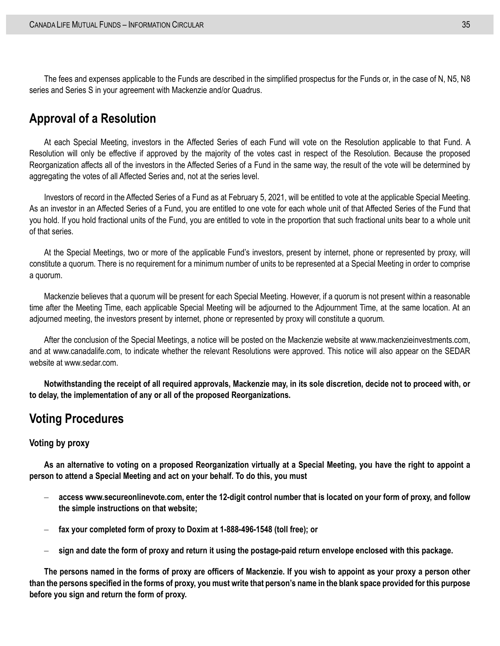The fees and expenses applicable to the Funds are described in the simplified prospectus for the Funds or, in the case of N, N5, N8 series and Series S in your agreement with Mackenzie and/or Quadrus.

## <span id="page-42-0"></span>**Approval of a Resolution**

At each Special Meeting, investors in the Affected Series of each Fund will vote on the Resolution applicable to that Fund. A Resolution will only be effective if approved by the majority of the votes cast in respect of the Resolution. Because the proposed Reorganization affects all of the investors in the Affected Series of a Fund in the same way, the result of the vote will be determined by aggregating the votes of all Affected Series and, not at the series level.

Investors of record in the Affected Series of a Fund as at February 5, 2021, will be entitled to vote at the applicable Special Meeting. As an investor in an Affected Series of a Fund, you are entitled to one vote for each whole unit of that Affected Series of the Fund that you hold. If you hold fractional units of the Fund, you are entitled to vote in the proportion that such fractional units bear to a whole unit of that series.

At the Special Meetings, two or more of the applicable Fund's investors, present by internet, phone or represented by proxy, will constitute a quorum. There is no requirement for a minimum number of units to be represented at a Special Meeting in order to comprise a quorum.

Mackenzie believes that a quorum will be present for each Special Meeting. However, if a quorum is not present within a reasonable time after the Meeting Time, each applicable Special Meeting will be adjourned to the Adjournment Time, at the same location. At an adjourned meeting, the investors present by internet, phone or represented by proxy will constitute a quorum.

After the conclusion of the Special Meetings, a notice will be posted on the Mackenzie website at www.mackenzieinvestments.com, and at www.canadalife.com, to indicate whether the relevant Resolutions were approved. This notice will also appear on the SEDAR website at www.sedar.com.

**Notwithstanding the receipt of all required approvals, Mackenzie may, in its sole discretion, decide not to proceed with, or to delay, the implementation of any or all of the proposed Reorganizations.**

## <span id="page-42-1"></span>**Voting Procedures**

#### **Voting by proxy**

**As an alternative to voting on a proposed Reorganization virtually at a Special Meeting, you have the right to appoint a person to attend a Special Meeting and act on your behalf. To do this, you must**

- **access www.secureonlinevote.com, enter the 12-digit control number that is located on your form of proxy, and follow the simple instructions on that website;**
- **fax your completed form of proxy to Doxim at 1-888-496-1548 (toll free); or**
- **sign and date the form of proxy and return it using the postage-paid return envelope enclosed with this package.**

**The persons named in the forms of proxy are officers of Mackenzie. If you wish to appoint as your proxy a person other than the persons specified in the forms of proxy, you must write that person's name in the blank space provided for this purpose before you sign and return the form of proxy.**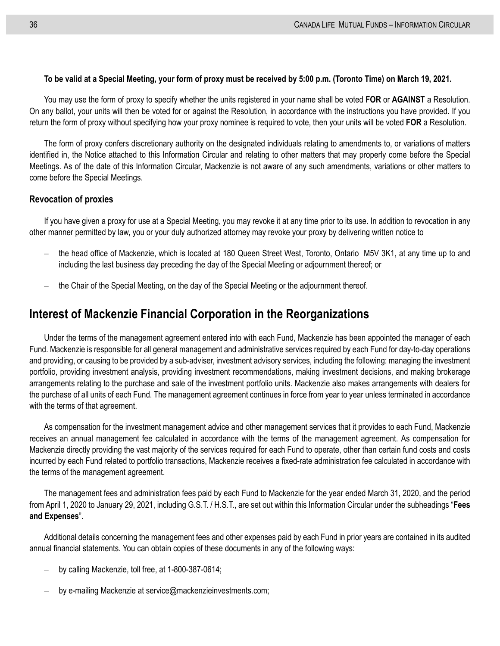#### **To be valid at a Special Meeting, your form of proxy must be received by 5:00 p.m. (Toronto Time) on March 19, 2021.**

You may use the form of proxy to specify whether the units registered in your name shall be voted **FOR** or **AGAINST** a Resolution. On any ballot, your units will then be voted for or against the Resolution, in accordance with the instructions you have provided. If you return the form of proxy without specifying how your proxy nominee is required to vote, then your units will be voted **FOR** a Resolution.

The form of proxy confers discretionary authority on the designated individuals relating to amendments to, or variations of matters identified in, the Notice attached to this Information Circular and relating to other matters that may properly come before the Special Meetings. As of the date of this Information Circular, Mackenzie is not aware of any such amendments, variations or other matters to come before the Special Meetings.

#### **Revocation of proxies**

If you have given a proxy for use at a Special Meeting, you may revoke it at any time prior to its use. In addition to revocation in any other manner permitted by law, you or your duly authorized attorney may revoke your proxy by delivering written notice to

- the head office of Mackenzie, which is located at 180 Queen Street West, Toronto, Ontario M5V 3K1, at any time up to and including the last business day preceding the day of the Special Meeting or adjournment thereof; or
- the Chair of the Special Meeting, on the day of the Special Meeting or the adjournment thereof.

## <span id="page-43-0"></span>**Interest of Mackenzie Financial Corporation in the Reorganizations**

Under the terms of the management agreement entered into with each Fund, Mackenzie has been appointed the manager of each Fund. Mackenzie is responsible for all general management and administrative services required by each Fund for day-to-day operations and providing, or causing to be provided by a sub-adviser, investment advisory services, including the following: managing the investment portfolio, providing investment analysis, providing investment recommendations, making investment decisions, and making brokerage arrangements relating to the purchase and sale of the investment portfolio units. Mackenzie also makes arrangements with dealers for the purchase of all units of each Fund. The management agreement continues in force from year to year unless terminated in accordance with the terms of that agreement.

As compensation for the investment management advice and other management services that it provides to each Fund, Mackenzie receives an annual management fee calculated in accordance with the terms of the management agreement. As compensation for Mackenzie directly providing the vast majority of the services required for each Fund to operate, other than certain fund costs and costs incurred by each Fund related to portfolio transactions, Mackenzie receives a fixed-rate administration fee calculated in accordance with the terms of the management agreement.

The management fees and administration fees paid by each Fund to Mackenzie for the year ended March 31, 2020, and the period from April 1, 2020 to January 29, 2021, including G.S.T. / H.S.T., are set out within this Information Circular under the subheadings "**Fees and Expenses**".

Additional details concerning the management fees and other expenses paid by each Fund in prior years are contained in its audited annual financial statements. You can obtain copies of these documents in any of the following ways:

- by calling Mackenzie, toll free, at 1-800-387-0614;
- by e-mailing Mackenzie at service@mackenzieinvestments.com;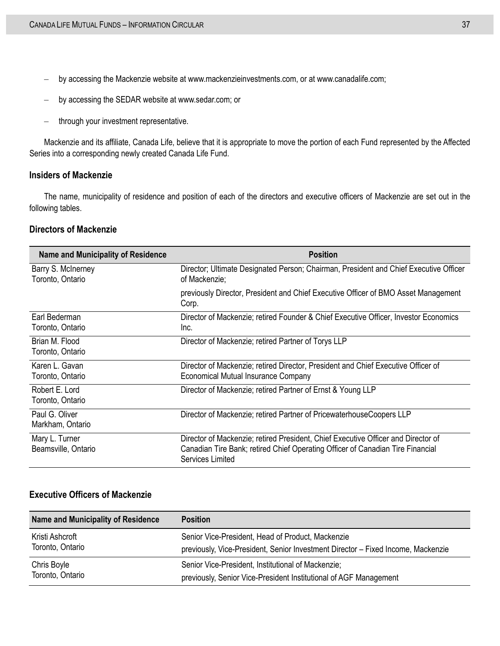- by accessing the Mackenzie website at www.mackenzieinvestments.com, or at www.canadalife.com;
- by accessing the SEDAR website at www.sedar.com; or
- through your investment representative.

Mackenzie and its affiliate, Canada Life, believe that it is appropriate to move the portion of each Fund represented by the Affected Series into a corresponding newly created Canada Life Fund.

#### **Insiders of Mackenzie**

The name, municipality of residence and position of each of the directors and executive officers of Mackenzie are set out in the following tables.

#### **Directors of Mackenzie**

| <b>Name and Municipality of Residence</b> | <b>Position</b>                                                                                                                                                                         |
|-------------------------------------------|-----------------------------------------------------------------------------------------------------------------------------------------------------------------------------------------|
| Barry S. McInerney<br>Toronto, Ontario    | Director; Ultimate Designated Person; Chairman, President and Chief Executive Officer<br>of Mackenzie;                                                                                  |
|                                           | previously Director, President and Chief Executive Officer of BMO Asset Management<br>Corp.                                                                                             |
| Earl Bederman<br>Toronto, Ontario         | Director of Mackenzie; retired Founder & Chief Executive Officer, Investor Economics<br>Inc.                                                                                            |
| Brian M. Flood<br>Toronto, Ontario        | Director of Mackenzie; retired Partner of Torys LLP                                                                                                                                     |
| Karen L. Gavan<br>Toronto, Ontario        | Director of Mackenzie; retired Director, President and Chief Executive Officer of<br><b>Economical Mutual Insurance Company</b>                                                         |
| Robert E. Lord<br>Toronto, Ontario        | Director of Mackenzie; retired Partner of Ernst & Young LLP                                                                                                                             |
| Paul G. Oliver<br>Markham, Ontario        | Director of Mackenzie; retired Partner of PricewaterhouseCoopers LLP                                                                                                                    |
| Mary L. Turner<br>Beamsville, Ontario     | Director of Mackenzie; retired President, Chief Executive Officer and Director of<br>Canadian Tire Bank; retired Chief Operating Officer of Canadian Tire Financial<br>Services Limited |

#### **Executive Officers of Mackenzie**

| Name and Municipality of Residence | <b>Position</b>                                                                  |
|------------------------------------|----------------------------------------------------------------------------------|
| Kristi Ashcroft                    | Senior Vice-President, Head of Product, Mackenzie                                |
| Toronto, Ontario                   | previously, Vice-President, Senior Investment Director - Fixed Income, Mackenzie |
| Chris Boyle                        | Senior Vice-President, Institutional of Mackenzie;                               |
| Toronto, Ontario                   | previously, Senior Vice-President Institutional of AGF Management                |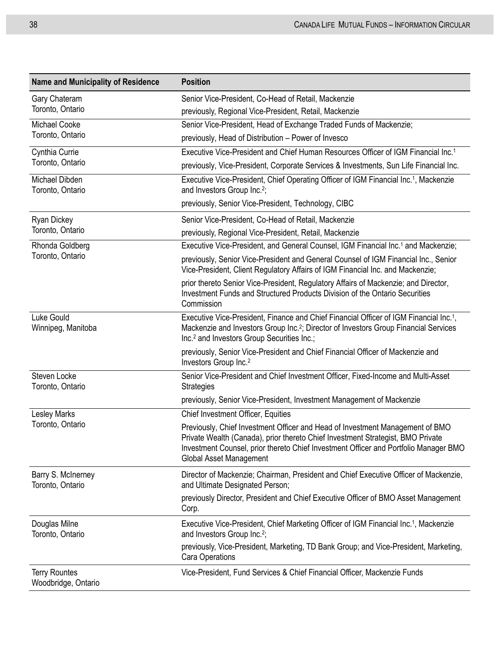| <b>Name and Municipality of Residence</b>   | <b>Position</b>                                                                                                                                                                                                                                                                     |
|---------------------------------------------|-------------------------------------------------------------------------------------------------------------------------------------------------------------------------------------------------------------------------------------------------------------------------------------|
| Gary Chateram<br>Toronto, Ontario           | Senior Vice-President, Co-Head of Retail, Mackenzie                                                                                                                                                                                                                                 |
|                                             | previously, Regional Vice-President, Retail, Mackenzie                                                                                                                                                                                                                              |
| <b>Michael Cooke</b>                        | Senior Vice-President, Head of Exchange Traded Funds of Mackenzie;                                                                                                                                                                                                                  |
| Toronto, Ontario                            | previously, Head of Distribution - Power of Invesco                                                                                                                                                                                                                                 |
| Cynthia Currie<br>Toronto, Ontario          | Executive Vice-President and Chief Human Resources Officer of IGM Financial Inc. <sup>1</sup>                                                                                                                                                                                       |
|                                             | previously, Vice-President, Corporate Services & Investments, Sun Life Financial Inc.                                                                                                                                                                                               |
| Michael Dibden<br>Toronto, Ontario          | Executive Vice-President, Chief Operating Officer of IGM Financial Inc. <sup>1</sup> , Mackenzie<br>and Investors Group Inc. <sup>2</sup> ;                                                                                                                                         |
|                                             | previously, Senior Vice-President, Technology, CIBC                                                                                                                                                                                                                                 |
| <b>Ryan Dickey</b><br>Toronto, Ontario      | Senior Vice-President, Co-Head of Retail, Mackenzie                                                                                                                                                                                                                                 |
|                                             | previously, Regional Vice-President, Retail, Mackenzie                                                                                                                                                                                                                              |
| Rhonda Goldberg                             | Executive Vice-President, and General Counsel, IGM Financial Inc. <sup>1</sup> and Mackenzie;                                                                                                                                                                                       |
| Toronto, Ontario                            | previously, Senior Vice-President and General Counsel of IGM Financial Inc., Senior<br>Vice-President, Client Regulatory Affairs of IGM Financial Inc. and Mackenzie;                                                                                                               |
|                                             | prior thereto Senior Vice-President, Regulatory Affairs of Mackenzie; and Director,<br>Investment Funds and Structured Products Division of the Ontario Securities<br>Commission                                                                                                    |
| Luke Gould<br>Winnipeg, Manitoba            | Executive Vice-President, Finance and Chief Financial Officer of IGM Financial Inc. <sup>1</sup> ,<br>Mackenzie and Investors Group Inc. <sup>2</sup> ; Director of Investors Group Financial Services<br>Inc. <sup>2</sup> and Investors Group Securities Inc.;                    |
|                                             | previously, Senior Vice-President and Chief Financial Officer of Mackenzie and<br>Investors Group Inc. <sup>2</sup>                                                                                                                                                                 |
| Steven Locke<br>Toronto, Ontario            | Senior Vice-President and Chief Investment Officer, Fixed-Income and Multi-Asset<br><b>Strategies</b>                                                                                                                                                                               |
|                                             | previously, Senior Vice-President, Investment Management of Mackenzie                                                                                                                                                                                                               |
| Lesley Marks<br>Toronto, Ontario            | <b>Chief Investment Officer, Equities</b>                                                                                                                                                                                                                                           |
|                                             | Previously, Chief Investment Officer and Head of Investment Management of BMO<br>Private Wealth (Canada), prior thereto Chief Investment Strategist, BMO Private<br>Investment Counsel, prior thereto Chief Investment Officer and Portfolio Manager BMO<br>Global Asset Management |
| Barry S. McInerney<br>Toronto, Ontario      | Director of Mackenzie; Chairman, President and Chief Executive Officer of Mackenzie,<br>and Ultimate Designated Person;                                                                                                                                                             |
|                                             | previously Director, President and Chief Executive Officer of BMO Asset Management<br>Corp.                                                                                                                                                                                         |
| Douglas Milne<br>Toronto, Ontario           | Executive Vice-President, Chief Marketing Officer of IGM Financial Inc. <sup>1</sup> , Mackenzie<br>and Investors Group Inc. <sup>2</sup> ;                                                                                                                                         |
|                                             | previously, Vice-President, Marketing, TD Bank Group; and Vice-President, Marketing,<br>Cara Operations                                                                                                                                                                             |
| <b>Terry Rountes</b><br>Woodbridge, Ontario | Vice-President, Fund Services & Chief Financial Officer, Mackenzie Funds                                                                                                                                                                                                            |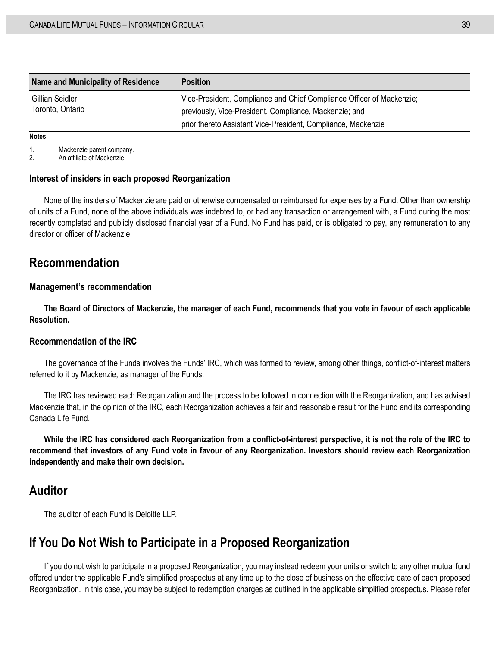| Name and Municipality of Residence  | <b>Position</b>                                                       |
|-------------------------------------|-----------------------------------------------------------------------|
| Gillian Seidler<br>Toronto, Ontario | Vice-President, Compliance and Chief Compliance Officer of Mackenzie; |
|                                     | previously, Vice-President, Compliance, Mackenzie; and                |
|                                     | prior thereto Assistant Vice-President, Compliance, Mackenzie         |

#### **Notes**

1. Mackenzie parent company.<br>2 An affiliate of Mackenzie

An affiliate of Mackenzie

#### **Interest of insiders in each proposed Reorganization**

None of the insiders of Mackenzie are paid or otherwise compensated or reimbursed for expenses by a Fund. Other than ownership of units of a Fund, none of the above individuals was indebted to, or had any transaction or arrangement with, a Fund during the most recently completed and publicly disclosed financial year of a Fund. No Fund has paid, or is obligated to pay, any remuneration to any director or officer of Mackenzie.

### <span id="page-46-0"></span>**Recommendation**

#### **Management's recommendation**

**The Board of Directors of Mackenzie, the manager of each Fund, recommends that you vote in favour of each applicable Resolution.**

#### **Recommendation of the IRC**

The governance of the Funds involves the Funds' IRC, which was formed to review, among other things, conflict-of-interest matters referred to it by Mackenzie, as manager of the Funds.

The IRC has reviewed each Reorganization and the process to be followed in connection with the Reorganization, and has advised Mackenzie that, in the opinion of the IRC, each Reorganization achieves a fair and reasonable result for the Fund and its corresponding Canada Life Fund.

**While the IRC has considered each Reorganization from a conflict-of-interest perspective, it is not the role of the IRC to recommend that investors of any Fund vote in favour of any Reorganization. Investors should review each Reorganization independently and make their own decision.**

### <span id="page-46-1"></span>**Auditor**

The auditor of each Fund is Deloitte LLP.

### <span id="page-46-2"></span>**If You Do Not Wish to Participate in a Proposed Reorganization**

If you do not wish to participate in a proposed Reorganization, you may instead redeem your units or switch to any other mutual fund offered under the applicable Fund's simplified prospectus at any time up to the close of business on the effective date of each proposed Reorganization. In this case, you may be subject to redemption charges as outlined in the applicable simplified prospectus. Please refer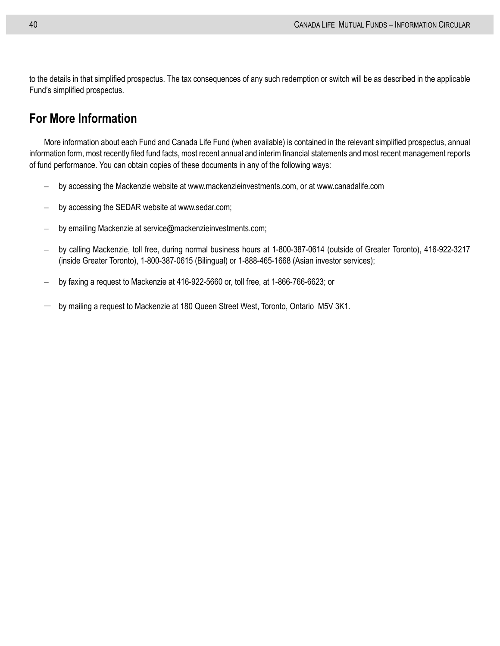to the details in that simplified prospectus. The tax consequences of any such redemption or switch will be as described in the applicable Fund's simplified prospectus.

## <span id="page-47-0"></span>**For More Information**

More information about each Fund and Canada Life Fund (when available) is contained in the relevant simplified prospectus, annual information form, most recently filed fund facts, most recent annual and interim financial statements and most recent management reports of fund performance. You can obtain copies of these documents in any of the following ways:

- by accessing the Mackenzie website at www.mackenzieinvestments.com, or at www.canadalife.com
- by accessing the SEDAR website at www.sedar.com;
- by emailing Mackenzie at service@mackenzieinvestments.com;
- by calling Mackenzie, toll free, during normal business hours at 1-800-387-0614 (outside of Greater Toronto), 416-922-3217 (inside Greater Toronto), 1-800-387-0615 (Bilingual) or 1-888-465-1668 (Asian investor services);
- by faxing a request to Mackenzie at 416-922-5660 or, toll free, at 1-866-766-6623; or
- by mailing a request to Mackenzie at 180 Queen Street West, Toronto, Ontario M5V 3K1.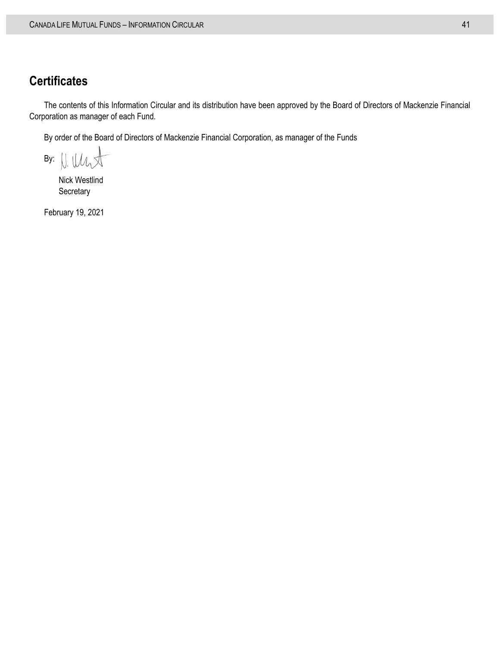## <span id="page-48-0"></span>**Certificates**

The contents of this Information Circular and its distribution have been approved by the Board of Directors of Mackenzie Financial Corporation as manager of each Fund.

By order of the Board of Directors of Mackenzie Financial Corporation, as manager of the Funds

By:

Nick Westlind **Secretary** 

February 19, 2021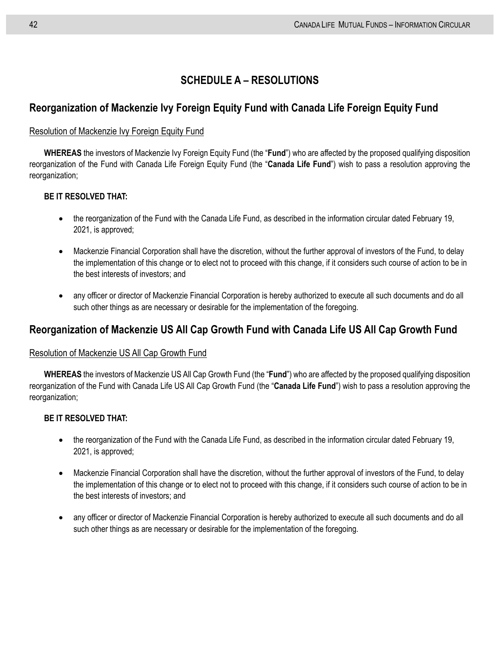## **SCHEDULE A – RESOLUTIONS**

### <span id="page-49-0"></span>**Reorganization of Mackenzie Ivy Foreign Equity Fund with Canada Life Foreign Equity Fund**

#### Resolution of Mackenzie Ivy Foreign Equity Fund

**WHEREAS** the investors of Mackenzie Ivy Foreign Equity Fund (the "**Fund**") who are affected by the proposed qualifying disposition reorganization of the Fund with Canada Life Foreign Equity Fund (the "**Canada Life Fund**") wish to pass a resolution approving the reorganization;

#### **BE IT RESOLVED THAT:**

- the reorganization of the Fund with the Canada Life Fund, as described in the information circular dated February 19, 2021, is approved;
- Mackenzie Financial Corporation shall have the discretion, without the further approval of investors of the Fund, to delay the implementation of this change or to elect not to proceed with this change, if it considers such course of action to be in the best interests of investors; and
- any officer or director of Mackenzie Financial Corporation is hereby authorized to execute all such documents and do all such other things as are necessary or desirable for the implementation of the foregoing.

## **Reorganization of Mackenzie US All Cap Growth Fund with Canada Life US All Cap Growth Fund**

### Resolution of Mackenzie US All Cap Growth Fund

**WHEREAS** the investors of Mackenzie US All Cap Growth Fund (the "**Fund**") who are affected by the proposed qualifying disposition reorganization of the Fund with Canada Life US All Cap Growth Fund (the "**Canada Life Fund**") wish to pass a resolution approving the reorganization;

#### **BE IT RESOLVED THAT:**

- the reorganization of the Fund with the Canada Life Fund, as described in the information circular dated February 19, 2021, is approved;
- Mackenzie Financial Corporation shall have the discretion, without the further approval of investors of the Fund, to delay the implementation of this change or to elect not to proceed with this change, if it considers such course of action to be in the best interests of investors; and
- any officer or director of Mackenzie Financial Corporation is hereby authorized to execute all such documents and do all such other things as are necessary or desirable for the implementation of the foregoing.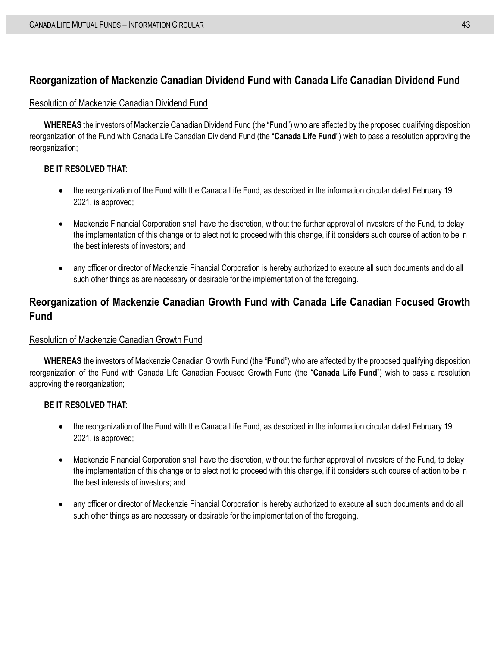### **Reorganization of Mackenzie Canadian Dividend Fund with Canada Life Canadian Dividend Fund**

#### Resolution of Mackenzie Canadian Dividend Fund

**WHEREAS** the investors of Mackenzie Canadian Dividend Fund (the "**Fund**") who are affected by the proposed qualifying disposition reorganization of the Fund with Canada Life Canadian Dividend Fund (the "**Canada Life Fund**") wish to pass a resolution approving the reorganization;

#### **BE IT RESOLVED THAT:**

- the reorganization of the Fund with the Canada Life Fund, as described in the information circular dated February 19, 2021, is approved;
- Mackenzie Financial Corporation shall have the discretion, without the further approval of investors of the Fund, to delay the implementation of this change or to elect not to proceed with this change, if it considers such course of action to be in the best interests of investors; and
- any officer or director of Mackenzie Financial Corporation is hereby authorized to execute all such documents and do all such other things as are necessary or desirable for the implementation of the foregoing.

## **Reorganization of Mackenzie Canadian Growth Fund with Canada Life Canadian Focused Growth Fund**

#### Resolution of Mackenzie Canadian Growth Fund

**WHEREAS** the investors of Mackenzie Canadian Growth Fund (the "**Fund**") who are affected by the proposed qualifying disposition reorganization of the Fund with Canada Life Canadian Focused Growth Fund (the "**Canada Life Fund**") wish to pass a resolution approving the reorganization;

#### **BE IT RESOLVED THAT:**

- the reorganization of the Fund with the Canada Life Fund, as described in the information circular dated February 19, 2021, is approved;
- Mackenzie Financial Corporation shall have the discretion, without the further approval of investors of the Fund, to delay the implementation of this change or to elect not to proceed with this change, if it considers such course of action to be in the best interests of investors; and
- any officer or director of Mackenzie Financial Corporation is hereby authorized to execute all such documents and do all such other things as are necessary or desirable for the implementation of the foregoing.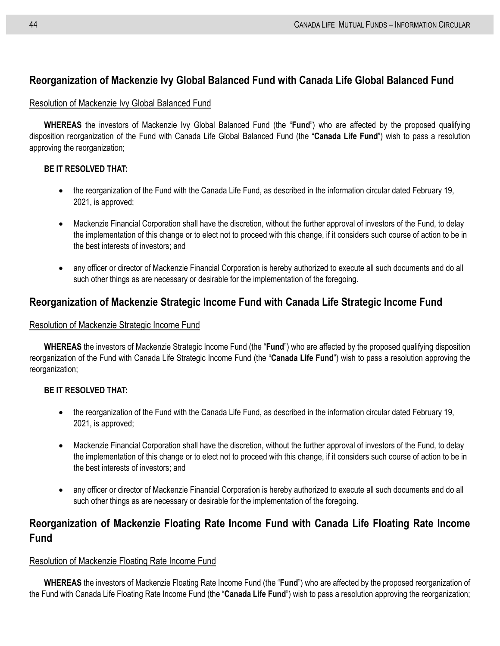## **Reorganization of Mackenzie Ivy Global Balanced Fund with Canada Life Global Balanced Fund**

#### Resolution of Mackenzie Ivy Global Balanced Fund

**WHEREAS** the investors of Mackenzie Ivy Global Balanced Fund (the "**Fund**") who are affected by the proposed qualifying disposition reorganization of the Fund with Canada Life Global Balanced Fund (the "**Canada Life Fund**") wish to pass a resolution approving the reorganization;

#### **BE IT RESOLVED THAT:**

- the reorganization of the Fund with the Canada Life Fund, as described in the information circular dated February 19, 2021, is approved;
- Mackenzie Financial Corporation shall have the discretion, without the further approval of investors of the Fund, to delay the implementation of this change or to elect not to proceed with this change, if it considers such course of action to be in the best interests of investors; and
- any officer or director of Mackenzie Financial Corporation is hereby authorized to execute all such documents and do all such other things as are necessary or desirable for the implementation of the foregoing.

### **Reorganization of Mackenzie Strategic Income Fund with Canada Life Strategic Income Fund**

#### Resolution of Mackenzie Strategic Income Fund

**WHEREAS** the investors of Mackenzie Strategic Income Fund (the "**Fund**") who are affected by the proposed qualifying disposition reorganization of the Fund with Canada Life Strategic Income Fund (the "**Canada Life Fund**") wish to pass a resolution approving the reorganization:

#### **BE IT RESOLVED THAT:**

- the reorganization of the Fund with the Canada Life Fund, as described in the information circular dated February 19, 2021, is approved;
- Mackenzie Financial Corporation shall have the discretion, without the further approval of investors of the Fund, to delay the implementation of this change or to elect not to proceed with this change, if it considers such course of action to be in the best interests of investors; and
- any officer or director of Mackenzie Financial Corporation is hereby authorized to execute all such documents and do all such other things as are necessary or desirable for the implementation of the foregoing.

## **Reorganization of Mackenzie Floating Rate Income Fund with Canada Life Floating Rate Income Fund**

#### Resolution of Mackenzie Floating Rate Income Fund

**WHEREAS** the investors of Mackenzie Floating Rate Income Fund (the "**Fund**") who are affected by the proposed reorganization of the Fund with Canada Life Floating Rate Income Fund (the "**Canada Life Fund**") wish to pass a resolution approving the reorganization;